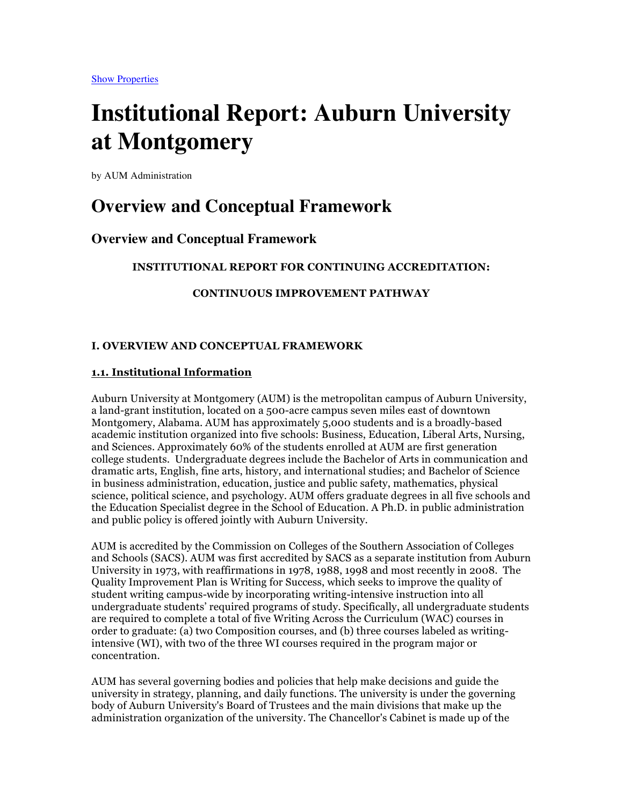# **Institutional Report: Auburn University at Montgomery**

by AUM Administration

# **Overview and Conceptual Framework**

### **Overview and Conceptual Framework**

### **INSTITUTIONAL REPORT FOR CONTINUING ACCREDITATION:**

### **CONTINUOUS IMPROVEMENT PATHWAY**

### **I. OVERVIEW AND CONCEPTUAL FRAMEWORK**

### **1.1. Institutional Information**

Auburn University at Montgomery (AUM) is the metropolitan campus of Auburn University, a land-grant institution, located on a 500-acre campus seven miles east of downtown Montgomery, Alabama. AUM has approximately 5,000 students and is a broadly-based academic institution organized into five schools: Business, Education, Liberal Arts, Nursing, and Sciences. Approximately 60% of the students enrolled at AUM are first generation college students. Undergraduate degrees include the Bachelor of Arts in communication and dramatic arts, English, fine arts, history, and international studies; and Bachelor of Science in business administration, education, justice and public safety, mathematics, physical science, political science, and psychology. AUM offers graduate degrees in all five schools and the Education Specialist degree in the School of Education. A Ph.D. in public administration and public policy is offered jointly with Auburn University.

AUM is accredited by the Commission on Colleges of the Southern Association of Colleges and Schools (SACS). AUM was first accredited by SACS as a separate institution from Auburn University in 1973, with reaffirmations in 1978, 1988, 1998 and most recently in 2008. The Quality Improvement Plan is Writing for Success, which seeks to improve the quality of student writing campus-wide by incorporating writing-intensive instruction into all undergraduate students' required programs of study. Specifically, all undergraduate students are required to complete a total of five Writing Across the Curriculum (WAC) courses in order to graduate: (a) two Composition courses, and (b) three courses labeled as writingintensive (WI), with two of the three WI courses required in the program major or concentration.

AUM has several governing bodies and policies that help make decisions and guide the university in strategy, planning, and daily functions. The university is under the governing body of Auburn University's Board of Trustees and the main divisions that make up the administration organization of the university. The Chancellor's Cabinet is made up of the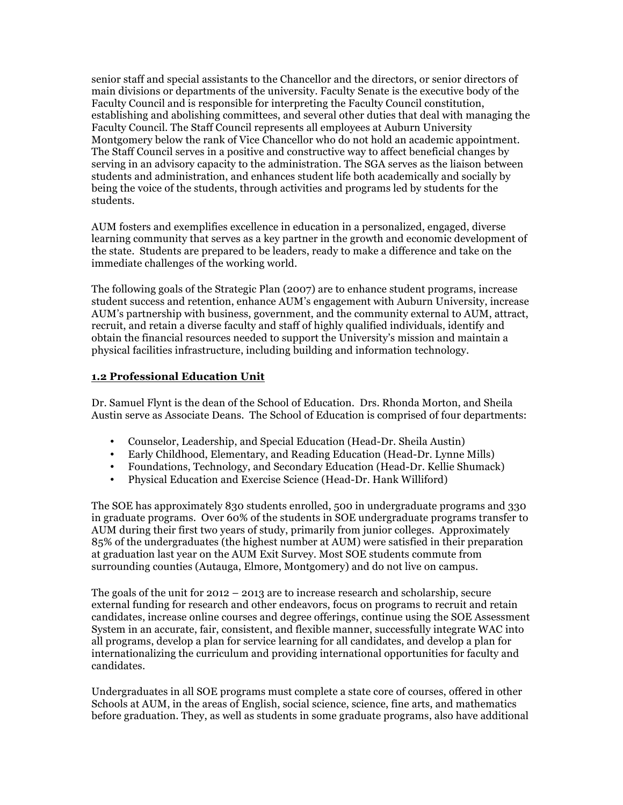senior staff and special assistants to the Chancellor and the directors, or senior directors of main divisions or departments of the university. Faculty Senate is the executive body of the Faculty Council and is responsible for interpreting the Faculty Council constitution, establishing and abolishing committees, and several other duties that deal with managing the Faculty Council. The Staff Council represents all employees at Auburn University Montgomery below the rank of Vice Chancellor who do not hold an academic appointment. The Staff Council serves in a positive and constructive way to affect beneficial changes by serving in an advisory capacity to the administration. The SGA serves as the liaison between students and administration, and enhances student life both academically and socially by being the voice of the students, through activities and programs led by students for the students.

AUM fosters and exemplifies excellence in education in a personalized, engaged, diverse learning community that serves as a key partner in the growth and economic development of the state. Students are prepared to be leaders, ready to make a difference and take on the immediate challenges of the working world.

The following goals of the Strategic Plan (2007) are to enhance student programs, increase student success and retention, enhance AUM's engagement with Auburn University, increase AUM's partnership with business, government, and the community external to AUM, attract, recruit, and retain a diverse faculty and staff of highly qualified individuals, identify and obtain the financial resources needed to support the University's mission and maintain a physical facilities infrastructure, including building and information technology.

### **1.2 Professional Education Unit**

Dr. Samuel Flynt is the dean of the School of Education. Drs. Rhonda Morton, and Sheila Austin serve as Associate Deans. The School of Education is comprised of four departments:

- Counselor, Leadership, and Special Education (Head-Dr. Sheila Austin)
- Early Childhood, Elementary, and Reading Education (Head-Dr. Lynne Mills)
- Foundations, Technology, and Secondary Education (Head-Dr. Kellie Shumack)
- Physical Education and Exercise Science (Head-Dr. Hank Williford)

The SOE has approximately 830 students enrolled, 500 in undergraduate programs and 330 in graduate programs. Over 60% of the students in SOE undergraduate programs transfer to AUM during their first two years of study, primarily from junior colleges. Approximately 85% of the undergraduates (the highest number at AUM) were satisfied in their preparation at graduation last year on the AUM Exit Survey. Most SOE students commute from surrounding counties (Autauga, Elmore, Montgomery) and do not live on campus.

The goals of the unit for 2012 – 2013 are to increase research and scholarship, secure external funding for research and other endeavors, focus on programs to recruit and retain candidates, increase online courses and degree offerings, continue using the SOE Assessment System in an accurate, fair, consistent, and flexible manner, successfully integrate WAC into all programs, develop a plan for service learning for all candidates, and develop a plan for internationalizing the curriculum and providing international opportunities for faculty and candidates.

Undergraduates in all SOE programs must complete a state core of courses, offered in other Schools at AUM, in the areas of English, social science, science, fine arts, and mathematics before graduation. They, as well as students in some graduate programs, also have additional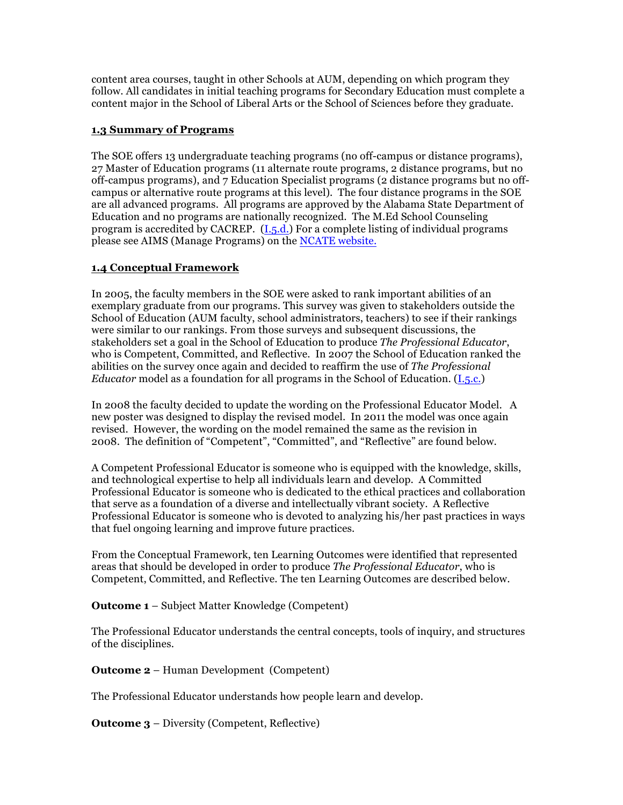content area courses, taught in other Schools at AUM, depending on which program they follow. All candidates in initial teaching programs for Secondary Education must complete a content major in the School of Liberal Arts or the School of Sciences before they graduate.

### **1.3 Summary of Programs**

The SOE offers 13 undergraduate teaching programs (no off-campus or distance programs), 27 Master of Education programs (11 alternate route programs, 2 distance programs, but no off-campus programs), and 7 Education Specialist programs (2 distance programs but no offcampus or alternative route programs at this level). The four distance programs in the SOE are all advanced programs. All programs are approved by the Alabama State Department of Education and no programs are nationally recognized. The M.Ed School Counseling program is accredited by CACREP. (I.5.d.) For a complete listing of individual programs please see AIMS (Manage Programs) on the NCATE website.

### **1.4 Conceptual Framework**

In 2005, the faculty members in the SOE were asked to rank important abilities of an exemplary graduate from our programs. This survey was given to stakeholders outside the School of Education (AUM faculty, school administrators, teachers) to see if their rankings were similar to our rankings. From those surveys and subsequent discussions, the stakeholders set a goal in the School of Education to produce *The Professional Educator*, who is Competent, Committed, and Reflective. In 2007 the School of Education ranked the abilities on the survey once again and decided to reaffirm the use of *The Professional Educator* model as a foundation for all programs in the School of Education. (I.5.c.)

In 2008 the faculty decided to update the wording on the Professional Educator Model. A new poster was designed to display the revised model. In 2011 the model was once again revised. However, the wording on the model remained the same as the revision in 2008. The definition of "Competent", "Committed", and "Reflective" are found below.

A Competent Professional Educator is someone who is equipped with the knowledge, skills, and technological expertise to help all individuals learn and develop. A Committed Professional Educator is someone who is dedicated to the ethical practices and collaboration that serve as a foundation of a diverse and intellectually vibrant society. A Reflective Professional Educator is someone who is devoted to analyzing his/her past practices in ways that fuel ongoing learning and improve future practices.

From the Conceptual Framework, ten Learning Outcomes were identified that represented areas that should be developed in order to produce *The Professional Educator*, who is Competent, Committed, and Reflective. The ten Learning Outcomes are described below.

**Outcome 1** – Subject Matter Knowledge (Competent)

The Professional Educator understands the central concepts, tools of inquiry, and structures of the disciplines.

**Outcome 2** – Human Development (Competent)

The Professional Educator understands how people learn and develop.

**Outcome 3** – Diversity (Competent, Reflective)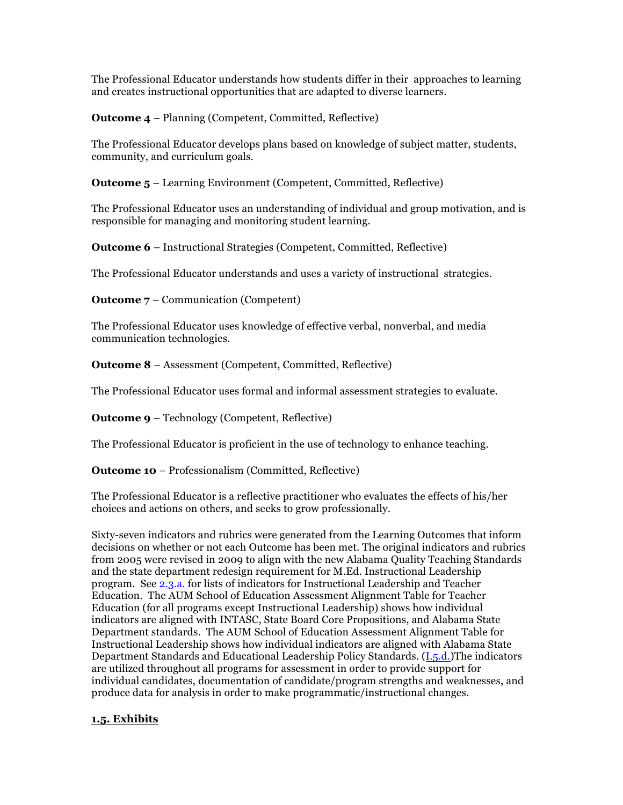The Professional Educator understands how students differ in their approaches to learning and creates instructional opportunities that are adapted to diverse learners.

**Outcome 4** – Planning (Competent, Committed, Reflective)

The Professional Educator develops plans based on knowledge of subject matter, students, community, and curriculum goals.

**Outcome 5** – Learning Environment (Competent, Committed, Reflective)

The Professional Educator uses an understanding of individual and group motivation, and is responsible for managing and monitoring student learning.

**Outcome 6** – Instructional Strategies (Competent, Committed, Reflective)

The Professional Educator understands and uses a variety of instructional strategies.

**Outcome 7** – Communication (Competent)

The Professional Educator uses knowledge of effective verbal, nonverbal, and media communication technologies.

**Outcome 8** – Assessment (Competent, Committed, Reflective)

The Professional Educator uses formal and informal assessment strategies to evaluate.

**Outcome 9** – Technology (Competent, Reflective)

The Professional Educator is proficient in the use of technology to enhance teaching.

**Outcome 10** – Professionalism (Committed, Reflective)

The Professional Educator is a reflective practitioner who evaluates the effects of his/her choices and actions on others, and seeks to grow professionally.

Sixty-seven indicators and rubrics were generated from the Learning Outcomes that inform decisions on whether or not each Outcome has been met. The original indicators and rubrics from 2005 were revised in 2009 to align with the new Alabama Quality Teaching Standards and the state department redesign requirement for M.Ed. Instructional Leadership program. See 2.3.a. for lists of indicators for Instructional Leadership and Teacher Education. The AUM School of Education Assessment Alignment Table for Teacher Education (for all programs except Instructional Leadership) shows how individual indicators are aligned with INTASC, State Board Core Propositions, and Alabama State Department standards. The AUM School of Education Assessment Alignment Table for Instructional Leadership shows how individual indicators are aligned with Alabama State Department Standards and Educational Leadership Policy Standards. (I.5.d.)The indicators are utilized throughout all programs for assessment in order to provide support for individual candidates, documentation of candidate/program strengths and weaknesses, and produce data for analysis in order to make programmatic/instructional changes.

### **1.5. Exhibits**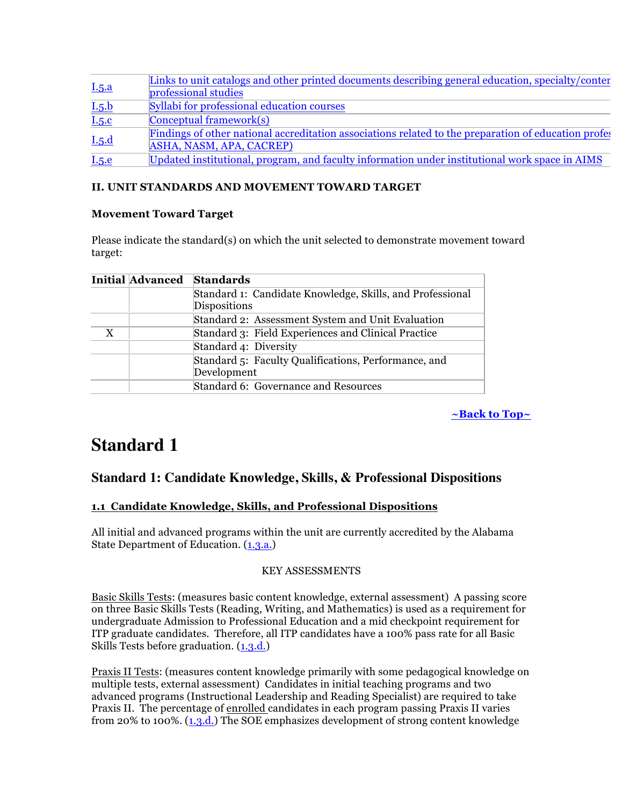| I.5.a | Links to unit catalogs and other printed documents describing general education, specialty/conter<br>professional studies        |
|-------|----------------------------------------------------------------------------------------------------------------------------------|
| I.5.b | Syllabi for professional education courses                                                                                       |
| I.5.c | $\lfloor$ Conceptual framework $(s)$                                                                                             |
| I.5.d | Findings of other national accreditation associations related to the preparation of education profes<br>ASHA, NASM, APA, CACREP) |
| I.5.e | Updated institutional, program, and faculty information under institutional work space in AIMS                                   |

### **II. UNIT STANDARDS AND MOVEMENT TOWARD TARGET**

### **Movement Toward Target**

Please indicate the standard(s) on which the unit selected to demonstrate movement toward target:

|   | <b>Initial Advanced</b> | <b>Standards</b>                                                          |
|---|-------------------------|---------------------------------------------------------------------------|
|   |                         | Standard 1: Candidate Knowledge, Skills, and Professional<br>Dispositions |
|   |                         | Standard 2: Assessment System and Unit Evaluation                         |
| X |                         | Standard 3: Field Experiences and Clinical Practice                       |
|   |                         | Standard 4: Diversity                                                     |
|   |                         | Standard 5: Faculty Qualifications, Performance, and<br>Development       |
|   |                         | Standard 6: Governance and Resources                                      |

**~Back to Top~**

# **Standard 1**

# **Standard 1: Candidate Knowledge, Skills, & Professional Dispositions**

### **1.1 Candidate Knowledge, Skills, and Professional Dispositions**

All initial and advanced programs within the unit are currently accredited by the Alabama State Department of Education. (1.3.a.)

### KEY ASSESSMENTS

Basic Skills Tests: (measures basic content knowledge, external assessment) A passing score on three Basic Skills Tests (Reading, Writing, and Mathematics) is used as a requirement for undergraduate Admission to Professional Education and a mid checkpoint requirement for ITP graduate candidates. Therefore, all ITP candidates have a 100% pass rate for all Basic Skills Tests before graduation.  $(1,3,d)$ 

Praxis II Tests: (measures content knowledge primarily with some pedagogical knowledge on multiple tests, external assessment) Candidates in initial teaching programs and two advanced programs (Instructional Leadership and Reading Specialist) are required to take Praxis II. The percentage of enrolled candidates in each program passing Praxis II varies from 20% to 100%. (1.3.d.) The SOE emphasizes development of strong content knowledge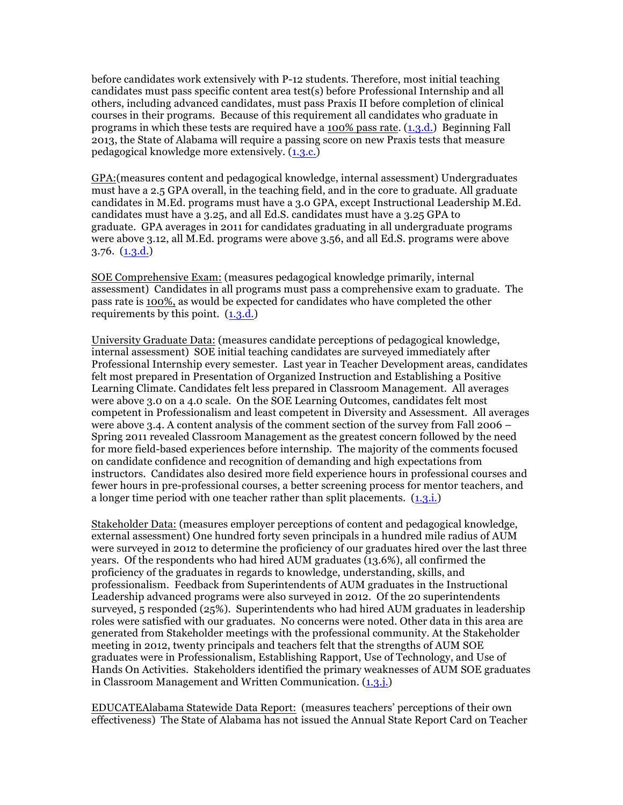before candidates work extensively with P-12 students. Therefore, most initial teaching candidates must pass specific content area test(s) before Professional Internship and all others, including advanced candidates, must pass Praxis II before completion of clinical courses in their programs. Because of this requirement all candidates who graduate in programs in which these tests are required have a 100% pass rate. (1.3.d.) Beginning Fall 2013, the State of Alabama will require a passing score on new Praxis tests that measure pedagogical knowledge more extensively. (1.3.c.)

GPA:(measures content and pedagogical knowledge, internal assessment) Undergraduates must have a 2.5 GPA overall, in the teaching field, and in the core to graduate. All graduate candidates in M.Ed. programs must have a 3.0 GPA, except Instructional Leadership M.Ed. candidates must have a 3.25, and all Ed.S. candidates must have a 3.25 GPA to graduate. GPA averages in 2011 for candidates graduating in all undergraduate programs were above 3.12, all M.Ed. programs were above 3.56, and all Ed.S. programs were above 3.76. (1.3.d.)

SOE Comprehensive Exam: (measures pedagogical knowledge primarily, internal assessment) Candidates in all programs must pass a comprehensive exam to graduate. The pass rate is 100%, as would be expected for candidates who have completed the other requirements by this point.  $(1,3,d)$ 

University Graduate Data: (measures candidate perceptions of pedagogical knowledge, internal assessment) SOE initial teaching candidates are surveyed immediately after Professional Internship every semester. Last year in Teacher Development areas, candidates felt most prepared in Presentation of Organized Instruction and Establishing a Positive Learning Climate. Candidates felt less prepared in Classroom Management. All averages were above 3.0 on a 4.0 scale. On the SOE Learning Outcomes, candidates felt most competent in Professionalism and least competent in Diversity and Assessment. All averages were above 3.4. A content analysis of the comment section of the survey from Fall 2006 – Spring 2011 revealed Classroom Management as the greatest concern followed by the need for more field-based experiences before internship. The majority of the comments focused on candidate confidence and recognition of demanding and high expectations from instructors. Candidates also desired more field experience hours in professional courses and fewer hours in pre-professional courses, a better screening process for mentor teachers, and a longer time period with one teacher rather than split placements. (1.3.i.)

Stakeholder Data: (measures employer perceptions of content and pedagogical knowledge, external assessment) One hundred forty seven principals in a hundred mile radius of AUM were surveyed in 2012 to determine the proficiency of our graduates hired over the last three years. Of the respondents who had hired AUM graduates (13.6%), all confirmed the proficiency of the graduates in regards to knowledge, understanding, skills, and professionalism. Feedback from Superintendents of AUM graduates in the Instructional Leadership advanced programs were also surveyed in 2012. Of the 20 superintendents surveyed, 5 responded (25%). Superintendents who had hired AUM graduates in leadership roles were satisfied with our graduates. No concerns were noted. Other data in this area are generated from Stakeholder meetings with the professional community. At the Stakeholder meeting in 2012, twenty principals and teachers felt that the strengths of AUM SOE graduates were in Professionalism, Establishing Rapport, Use of Technology, and Use of Hands On Activities. Stakeholders identified the primary weaknesses of AUM SOE graduates in Classroom Management and Written Communication. (1.3.j.)

EDUCATEAlabama Statewide Data Report: (measures teachers' perceptions of their own effectiveness) The State of Alabama has not issued the Annual State Report Card on Teacher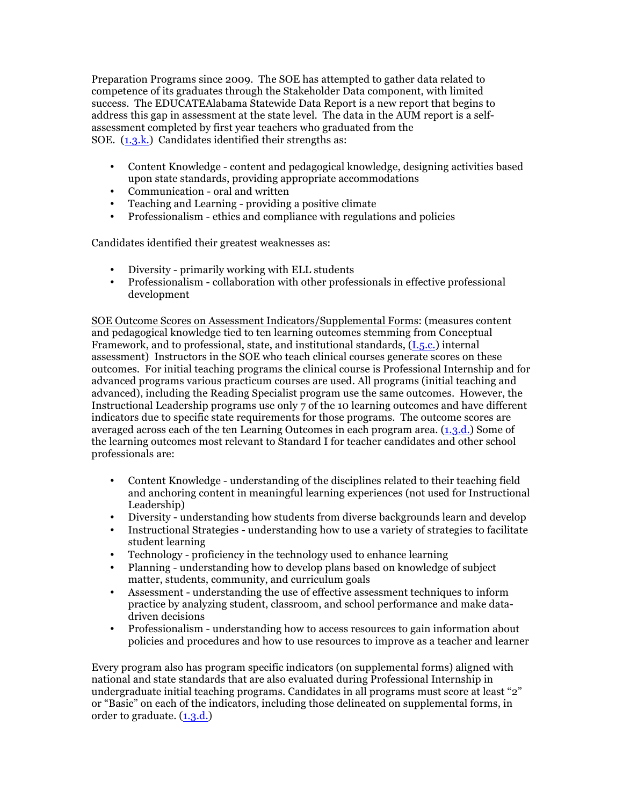Preparation Programs since 2009. The SOE has attempted to gather data related to competence of its graduates through the Stakeholder Data component, with limited success. The EDUCATEAlabama Statewide Data Report is a new report that begins to address this gap in assessment at the state level. The data in the AUM report is a selfassessment completed by first year teachers who graduated from the SOE. (1.3.k.) Candidates identified their strengths as:

- Content Knowledge content and pedagogical knowledge, designing activities based upon state standards, providing appropriate accommodations
- Communication oral and written
- Teaching and Learning providing a positive climate
- Professionalism ethics and compliance with regulations and policies

Candidates identified their greatest weaknesses as:

- Diversity primarily working with ELL students
- Professionalism collaboration with other professionals in effective professional development

SOE Outcome Scores on Assessment Indicators/Supplemental Forms: (measures content and pedagogical knowledge tied to ten learning outcomes stemming from Conceptual Framework, and to professional, state, and institutional standards, (I.5.c.) internal assessment) Instructors in the SOE who teach clinical courses generate scores on these outcomes. For initial teaching programs the clinical course is Professional Internship and for advanced programs various practicum courses are used. All programs (initial teaching and advanced), including the Reading Specialist program use the same outcomes. However, the Instructional Leadership programs use only 7 of the 10 learning outcomes and have different indicators due to specific state requirements for those programs. The outcome scores are averaged across each of the ten Learning Outcomes in each program area. (1.3.d.) Some of the learning outcomes most relevant to Standard I for teacher candidates and other school professionals are:

- Content Knowledge understanding of the disciplines related to their teaching field and anchoring content in meaningful learning experiences (not used for Instructional Leadership)
- Diversity understanding how students from diverse backgrounds learn and develop
- Instructional Strategies understanding how to use a variety of strategies to facilitate student learning
- Technology proficiency in the technology used to enhance learning
- Planning understanding how to develop plans based on knowledge of subject matter, students, community, and curriculum goals
- Assessment understanding the use of effective assessment techniques to inform practice by analyzing student, classroom, and school performance and make datadriven decisions
- Professionalism understanding how to access resources to gain information about policies and procedures and how to use resources to improve as a teacher and learner

Every program also has program specific indicators (on supplemental forms) aligned with national and state standards that are also evaluated during Professional Internship in undergraduate initial teaching programs. Candidates in all programs must score at least "2" or "Basic" on each of the indicators, including those delineated on supplemental forms, in order to graduate. (1.3.d.)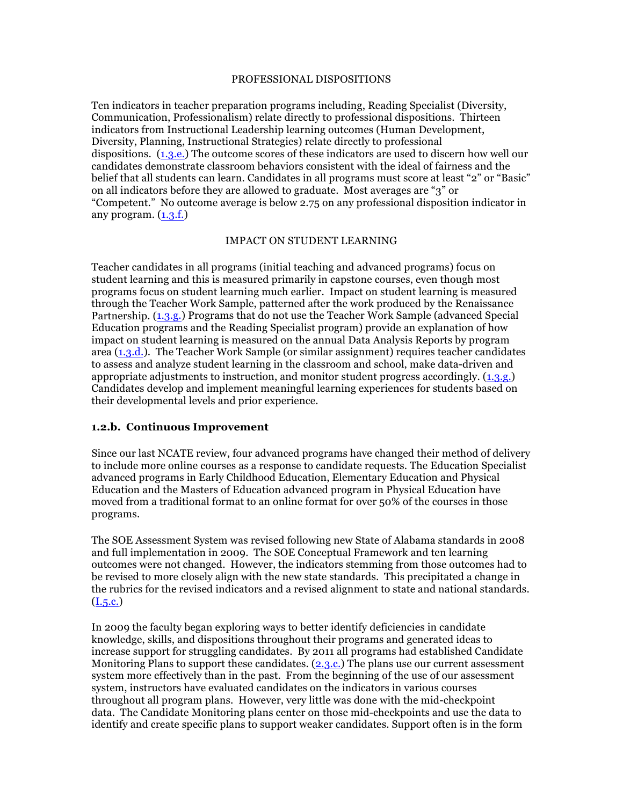#### PROFESSIONAL DISPOSITIONS

Ten indicators in teacher preparation programs including, Reading Specialist (Diversity, Communication, Professionalism) relate directly to professional dispositions. Thirteen indicators from Instructional Leadership learning outcomes (Human Development, Diversity, Planning, Instructional Strategies) relate directly to professional dispositions. (1.3.e.) The outcome scores of these indicators are used to discern how well our candidates demonstrate classroom behaviors consistent with the ideal of fairness and the belief that all students can learn. Candidates in all programs must score at least "2" or "Basic" on all indicators before they are allowed to graduate. Most averages are "3" or "Competent." No outcome average is below 2.75 on any professional disposition indicator in any program.  $(1.3.f.)$ 

### IMPACT ON STUDENT LEARNING

Teacher candidates in all programs (initial teaching and advanced programs) focus on student learning and this is measured primarily in capstone courses, even though most programs focus on student learning much earlier. Impact on student learning is measured through the Teacher Work Sample, patterned after the work produced by the Renaissance Partnership. (1.3.g.) Programs that do not use the Teacher Work Sample (advanced Special Education programs and the Reading Specialist program) provide an explanation of how impact on student learning is measured on the annual Data Analysis Reports by program area  $(1.3.d.)$ . The Teacher Work Sample (or similar assignment) requires teacher candidates to assess and analyze student learning in the classroom and school, make data-driven and appropriate adjustments to instruction, and monitor student progress accordingly. (1.3.g.) Candidates develop and implement meaningful learning experiences for students based on their developmental levels and prior experience.

### **1.2.b. Continuous Improvement**

Since our last NCATE review, four advanced programs have changed their method of delivery to include more online courses as a response to candidate requests. The Education Specialist advanced programs in Early Childhood Education, Elementary Education and Physical Education and the Masters of Education advanced program in Physical Education have moved from a traditional format to an online format for over 50% of the courses in those programs.

The SOE Assessment System was revised following new State of Alabama standards in 2008 and full implementation in 2009. The SOE Conceptual Framework and ten learning outcomes were not changed. However, the indicators stemming from those outcomes had to be revised to more closely align with the new state standards. This precipitated a change in the rubrics for the revised indicators and a revised alignment to state and national standards.  $(I.5.c.)$ 

In 2009 the faculty began exploring ways to better identify deficiencies in candidate knowledge, skills, and dispositions throughout their programs and generated ideas to increase support for struggling candidates. By 2011 all programs had established Candidate Monitoring Plans to support these candidates.  $(2,3,c)$  The plans use our current assessment system more effectively than in the past. From the beginning of the use of our assessment system, instructors have evaluated candidates on the indicators in various courses throughout all program plans. However, very little was done with the mid-checkpoint data. The Candidate Monitoring plans center on those mid-checkpoints and use the data to identify and create specific plans to support weaker candidates. Support often is in the form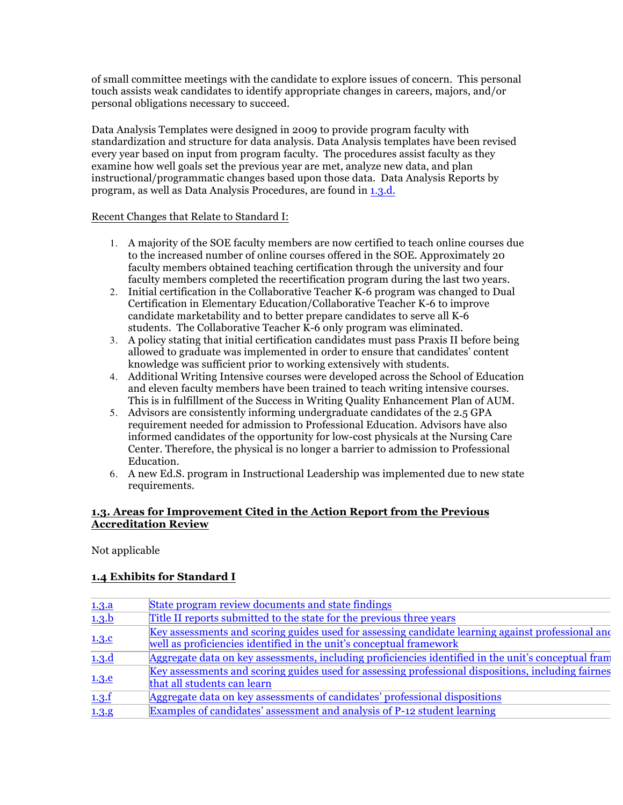of small committee meetings with the candidate to explore issues of concern. This personal touch assists weak candidates to identify appropriate changes in careers, majors, and/or personal obligations necessary to succeed.

Data Analysis Templates were designed in 2009 to provide program faculty with standardization and structure for data analysis. Data Analysis templates have been revised every year based on input from program faculty. The procedures assist faculty as they examine how well goals set the previous year are met, analyze new data, and plan instructional/programmatic changes based upon those data. Data Analysis Reports by program, as well as Data Analysis Procedures, are found in 1.3.d.

### Recent Changes that Relate to Standard I:

- 1. A majority of the SOE faculty members are now certified to teach online courses due to the increased number of online courses offered in the SOE. Approximately 20 faculty members obtained teaching certification through the university and four faculty members completed the recertification program during the last two years.
- 2. Initial certification in the Collaborative Teacher K-6 program was changed to Dual Certification in Elementary Education/Collaborative Teacher K-6 to improve candidate marketability and to better prepare candidates to serve all K-6 students. The Collaborative Teacher K-6 only program was eliminated.
- 3. A policy stating that initial certification candidates must pass Praxis II before being allowed to graduate was implemented in order to ensure that candidates' content knowledge was sufficient prior to working extensively with students.
- 4. Additional Writing Intensive courses were developed across the School of Education and eleven faculty members have been trained to teach writing intensive courses. This is in fulfillment of the Success in Writing Quality Enhancement Plan of AUM.
- 5. Advisors are consistently informing undergraduate candidates of the 2.5 GPA requirement needed for admission to Professional Education. Advisors have also informed candidates of the opportunity for low-cost physicals at the Nursing Care Center. Therefore, the physical is no longer a barrier to admission to Professional Education.
- 6. A new Ed.S. program in Instructional Leadership was implemented due to new state requirements.

### **1.3. Areas for Improvement Cited in the Action Report from the Previous Accreditation Review**

Not applicable

### **1.4 Exhibits for Standard I**

| 1.3.a | State program review documents and state findings                                                   |
|-------|-----------------------------------------------------------------------------------------------------|
| 1.3.b | Title II reports submitted to the state for the previous three years                                |
|       | Key assessments and scoring guides used for assessing candidate learning against professional and   |
| 1.3.c | well as proficiencies identified in the unit's conceptual framework                                 |
| 1.3.d | Aggregate data on key assessments, including proficiencies identified in the unit's conceptual fram |
| 1.3.e | Key assessments and scoring guides used for assessing professional dispositions, including fairnes  |
|       | that all students can learn                                                                         |
| 1.3.f | Aggregate data on key assessments of candidates' professional dispositions                          |
| 1.3.9 | Examples of candidates' assessment and analysis of P-12 student learning                            |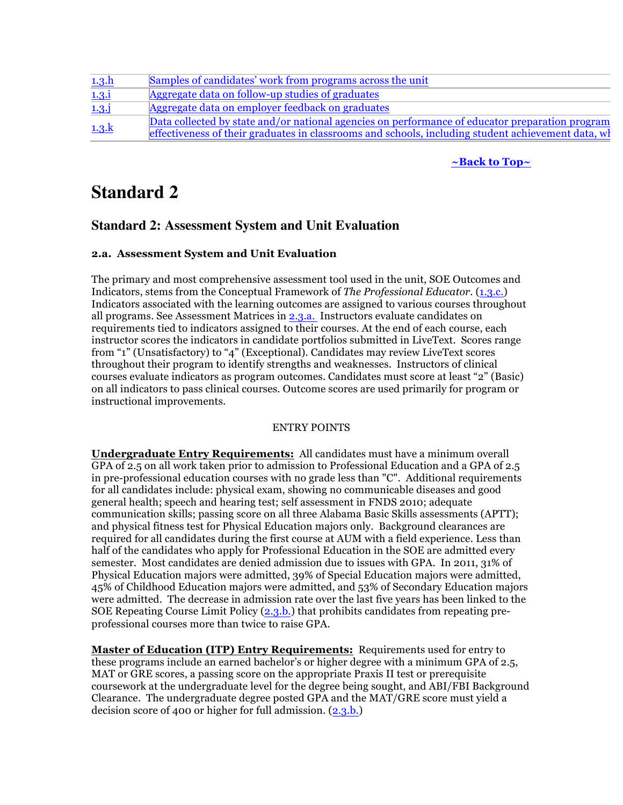| 1.3.h         | Samples of candidates' work from programs across the unit                                                                                                                                               |
|---------------|---------------------------------------------------------------------------------------------------------------------------------------------------------------------------------------------------------|
| 1.3.i         | Aggregate data on follow-up studies of graduates                                                                                                                                                        |
| $1.3.\dot{j}$ | Aggregate data on employer feedback on graduates                                                                                                                                                        |
| 1.3. k        | Data collected by state and/or national agencies on performance of educator preparation program<br>effectiveness of their graduates in classrooms and schools, including student achievement data, when |

### **~Back to Top~**

# **Standard 2**

### **Standard 2: Assessment System and Unit Evaluation**

### **2.a. Assessment System and Unit Evaluation**

The primary and most comprehensive assessment tool used in the unit, SOE Outcomes and Indicators, stems from the Conceptual Framework of *The Professional Educator*. (1.3.c.) Indicators associated with the learning outcomes are assigned to various courses throughout all programs. See Assessment Matrices in  $2.3a$ . Instructors evaluate candidates on requirements tied to indicators assigned to their courses. At the end of each course, each instructor scores the indicators in candidate portfolios submitted in LiveText. Scores range from "1" (Unsatisfactory) to "4" (Exceptional). Candidates may review LiveText scores throughout their program to identify strengths and weaknesses. Instructors of clinical courses evaluate indicators as program outcomes. Candidates must score at least "2" (Basic) on all indicators to pass clinical courses. Outcome scores are used primarily for program or instructional improvements.

### ENTRY POINTS

**Undergraduate Entry Requirements:** All candidates must have a minimum overall GPA of 2.5 on all work taken prior to admission to Professional Education and a GPA of 2.5 in pre-professional education courses with no grade less than "C". Additional requirements for all candidates include: physical exam, showing no communicable diseases and good general health; speech and hearing test; self assessment in FNDS 2010; adequate communication skills; passing score on all three Alabama Basic Skills assessments (APTT); and physical fitness test for Physical Education majors only. Background clearances are required for all candidates during the first course at AUM with a field experience. Less than half of the candidates who apply for Professional Education in the SOE are admitted every semester. Most candidates are denied admission due to issues with GPA. In 2011, 31% of Physical Education majors were admitted, 39% of Special Education majors were admitted, 45% of Childhood Education majors were admitted, and 53% of Secondary Education majors were admitted. The decrease in admission rate over the last five years has been linked to the SOE Repeating Course Limit Policy (2.3.b.) that prohibits candidates from repeating preprofessional courses more than twice to raise GPA.

**Master of Education (ITP) Entry Requirements:** Requirements used for entry to these programs include an earned bachelor's or higher degree with a minimum GPA of 2.5, MAT or GRE scores, a passing score on the appropriate Praxis II test or prerequisite coursework at the undergraduate level for the degree being sought, and ABI/FBI Background Clearance. The undergraduate degree posted GPA and the MAT/GRE score must yield a decision score of 400 or higher for full admission. (2.3.b.)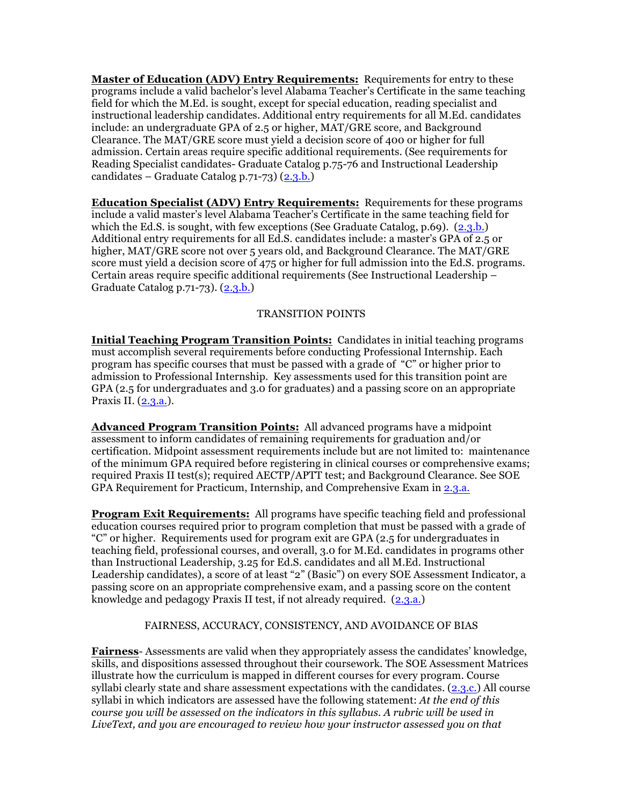**Master of Education (ADV) Entry Requirements:** Requirements for entry to these programs include a valid bachelor's level Alabama Teacher's Certificate in the same teaching field for which the M.Ed. is sought, except for special education, reading specialist and instructional leadership candidates. Additional entry requirements for all M.Ed. candidates include: an undergraduate GPA of 2.5 or higher, MAT/GRE score, and Background Clearance. The MAT/GRE score must yield a decision score of 400 or higher for full admission. Certain areas require specific additional requirements. (See requirements for Reading Specialist candidates- Graduate Catalog p.75-76 and Instructional Leadership candidates – Graduate Catalog p.71-73) (2.3.b.)

**Education Specialist (ADV) Entry Requirements:** Requirements for these programs include a valid master's level Alabama Teacher's Certificate in the same teaching field for which the Ed.S. is sought, with few exceptions (See Graduate Catalog, p.69). (2.3.b.) Additional entry requirements for all Ed.S. candidates include: a master's GPA of 2.5 or higher, MAT/GRE score not over 5 years old, and Background Clearance. The MAT/GRE score must yield a decision score of 475 or higher for full admission into the Ed.S. programs. Certain areas require specific additional requirements (See Instructional Leadership – Graduate Catalog p.71-73). (2.3.b.)

### TRANSITION POINTS

**Initial Teaching Program Transition Points:** Candidates in initial teaching programs must accomplish several requirements before conducting Professional Internship. Each program has specific courses that must be passed with a grade of "C" or higher prior to admission to Professional Internship. Key assessments used for this transition point are GPA (2.5 for undergraduates and 3.0 for graduates) and a passing score on an appropriate Praxis II. (2.3.a.).

**Advanced Program Transition Points:** All advanced programs have a midpoint assessment to inform candidates of remaining requirements for graduation and/or certification. Midpoint assessment requirements include but are not limited to: maintenance of the minimum GPA required before registering in clinical courses or comprehensive exams; required Praxis II test(s); required AECTP/APTT test; and Background Clearance. See SOE GPA Requirement for Practicum, Internship, and Comprehensive Exam in 2.3.a.

**Program Exit Requirements:** All programs have specific teaching field and professional education courses required prior to program completion that must be passed with a grade of "C" or higher. Requirements used for program exit are GPA (2.5 for undergraduates in teaching field, professional courses, and overall, 3.0 for M.Ed. candidates in programs other than Instructional Leadership, 3.25 for Ed.S. candidates and all M.Ed. Instructional Leadership candidates), a score of at least "2" (Basic") on every SOE Assessment Indicator, a passing score on an appropriate comprehensive exam, and a passing score on the content knowledge and pedagogy Praxis II test, if not already required. (2.3.a.)

### FAIRNESS, ACCURACY, CONSISTENCY, AND AVOIDANCE OF BIAS

**Fairness**- Assessments are valid when they appropriately assess the candidates' knowledge, skills, and dispositions assessed throughout their coursework. The SOE Assessment Matrices illustrate how the curriculum is mapped in different courses for every program. Course syllabi clearly state and share assessment expectations with the candidates. (2.3.c.) All course syllabi in which indicators are assessed have the following statement: *At the end of this course you will be assessed on the indicators in this syllabus. A rubric will be used in LiveText, and you are encouraged to review how your instructor assessed you on that*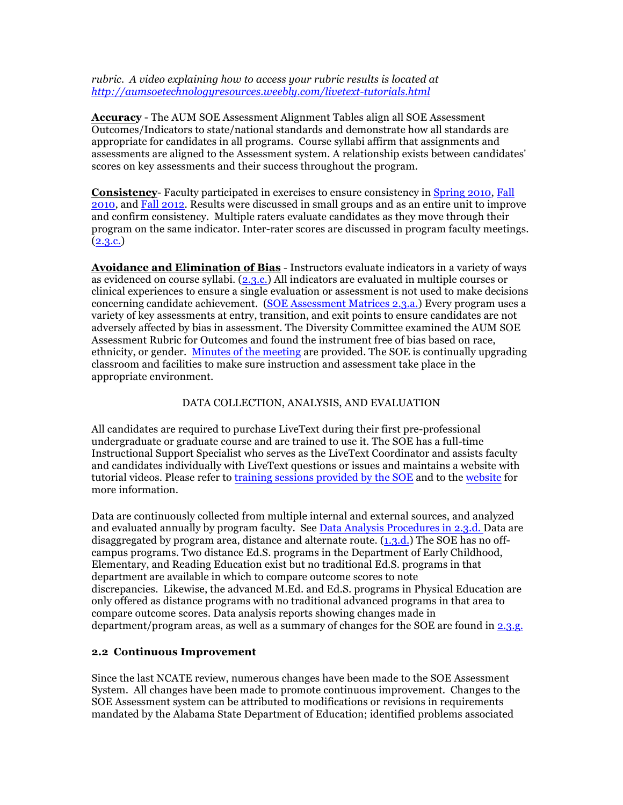*rubric. A video explaining how to access your rubric results is located at http://aumsoetechnologyresources.weebly.com/livetext-tutorials.html*

**Accuracy** - The AUM SOE Assessment Alignment Tables align all SOE Assessment Outcomes/Indicators to state/national standards and demonstrate how all standards are appropriate for candidates in all programs. Course syllabi affirm that assignments and assessments are aligned to the Assessment system. A relationship exists between candidates' scores on key assessments and their success throughout the program.

**Consistency**- Faculty participated in exercises to ensure consistency in Spring 2010, Fall 2010, and Fall 2012. Results were discussed in small groups and as an entire unit to improve and confirm consistency. Multiple raters evaluate candidates as they move through their program on the same indicator. Inter-rater scores are discussed in program faculty meetings.  $(2.3.c.)$ 

**Avoidance and Elimination of Bias** - Instructors evaluate indicators in a variety of ways as evidenced on course syllabi. (2.3.c.) All indicators are evaluated in multiple courses or clinical experiences to ensure a single evaluation or assessment is not used to make decisions concerning candidate achievement. (SOE Assessment Matrices 2.3.a.) Every program uses a variety of key assessments at entry, transition, and exit points to ensure candidates are not adversely affected by bias in assessment. The Diversity Committee examined the AUM SOE Assessment Rubric for Outcomes and found the instrument free of bias based on race, ethnicity, or gender. Minutes of the meeting are provided. The SOE is continually upgrading classroom and facilities to make sure instruction and assessment take place in the appropriate environment.

### DATA COLLECTION, ANALYSIS, AND EVALUATION

All candidates are required to purchase LiveText during their first pre-professional undergraduate or graduate course and are trained to use it. The SOE has a full-time Instructional Support Specialist who serves as the LiveText Coordinator and assists faculty and candidates individually with LiveText questions or issues and maintains a website with tutorial videos. Please refer to training sessions provided by the SOE and to the website for more information.

Data are continuously collected from multiple internal and external sources, and analyzed and evaluated annually by program faculty. See Data Analysis Procedures in 2.3.d. Data are disaggregated by program area, distance and alternate route.  $(1,3,d)$  The SOE has no offcampus programs. Two distance Ed.S. programs in the Department of Early Childhood, Elementary, and Reading Education exist but no traditional Ed.S. programs in that department are available in which to compare outcome scores to note discrepancies. Likewise, the advanced M.Ed. and Ed.S. programs in Physical Education are only offered as distance programs with no traditional advanced programs in that area to compare outcome scores. Data analysis reports showing changes made in department/program areas, as well as a summary of changes for the SOE are found in 2.3.g.

### **2.2 Continuous Improvement**

Since the last NCATE review, numerous changes have been made to the SOE Assessment System. All changes have been made to promote continuous improvement. Changes to the SOE Assessment system can be attributed to modifications or revisions in requirements mandated by the Alabama State Department of Education; identified problems associated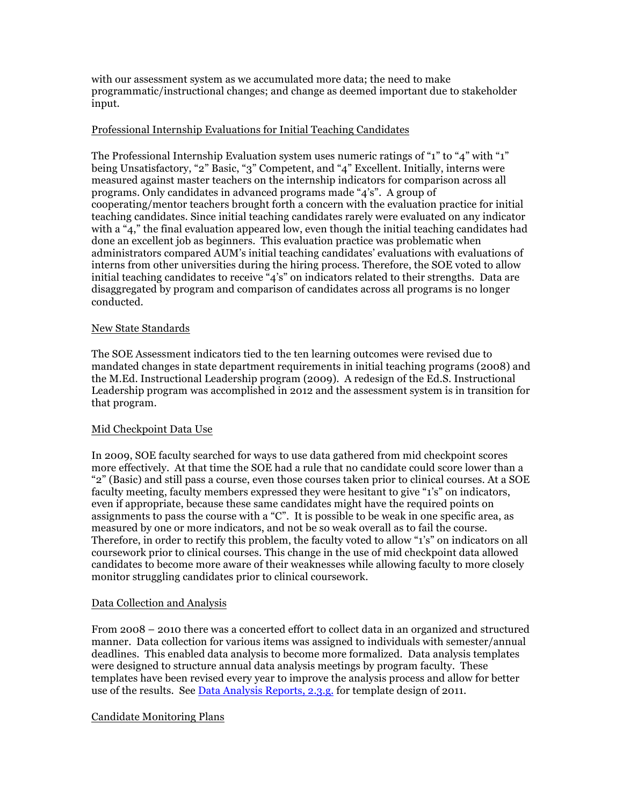with our assessment system as we accumulated more data; the need to make programmatic/instructional changes; and change as deemed important due to stakeholder input.

### Professional Internship Evaluations for Initial Teaching Candidates

The Professional Internship Evaluation system uses numeric ratings of "1" to "4" with "1" being Unsatisfactory, "2" Basic, "3" Competent, and "4" Excellent. Initially, interns were measured against master teachers on the internship indicators for comparison across all programs. Only candidates in advanced programs made "4's". A group of cooperating/mentor teachers brought forth a concern with the evaluation practice for initial teaching candidates. Since initial teaching candidates rarely were evaluated on any indicator with a "4," the final evaluation appeared low, even though the initial teaching candidates had done an excellent job as beginners. This evaluation practice was problematic when administrators compared AUM's initial teaching candidates' evaluations with evaluations of interns from other universities during the hiring process. Therefore, the SOE voted to allow initial teaching candidates to receive "4's" on indicators related to their strengths. Data are disaggregated by program and comparison of candidates across all programs is no longer conducted.

### New State Standards

The SOE Assessment indicators tied to the ten learning outcomes were revised due to mandated changes in state department requirements in initial teaching programs (2008) and the M.Ed. Instructional Leadership program (2009). A redesign of the Ed.S. Instructional Leadership program was accomplished in 2012 and the assessment system is in transition for that program.

### Mid Checkpoint Data Use

In 2009, SOE faculty searched for ways to use data gathered from mid checkpoint scores more effectively. At that time the SOE had a rule that no candidate could score lower than a "2" (Basic) and still pass a course, even those courses taken prior to clinical courses. At a SOE faculty meeting, faculty members expressed they were hesitant to give "1's" on indicators, even if appropriate, because these same candidates might have the required points on assignments to pass the course with a "C". It is possible to be weak in one specific area, as measured by one or more indicators, and not be so weak overall as to fail the course. Therefore, in order to rectify this problem, the faculty voted to allow "1's" on indicators on all coursework prior to clinical courses. This change in the use of mid checkpoint data allowed candidates to become more aware of their weaknesses while allowing faculty to more closely monitor struggling candidates prior to clinical coursework.

### Data Collection and Analysis

From 2008 – 2010 there was a concerted effort to collect data in an organized and structured manner. Data collection for various items was assigned to individuals with semester/annual deadlines. This enabled data analysis to become more formalized. Data analysis templates were designed to structure annual data analysis meetings by program faculty. These templates have been revised every year to improve the analysis process and allow for better use of the results. See Data Analysis Reports, 2.3.g. for template design of 2011.

### Candidate Monitoring Plans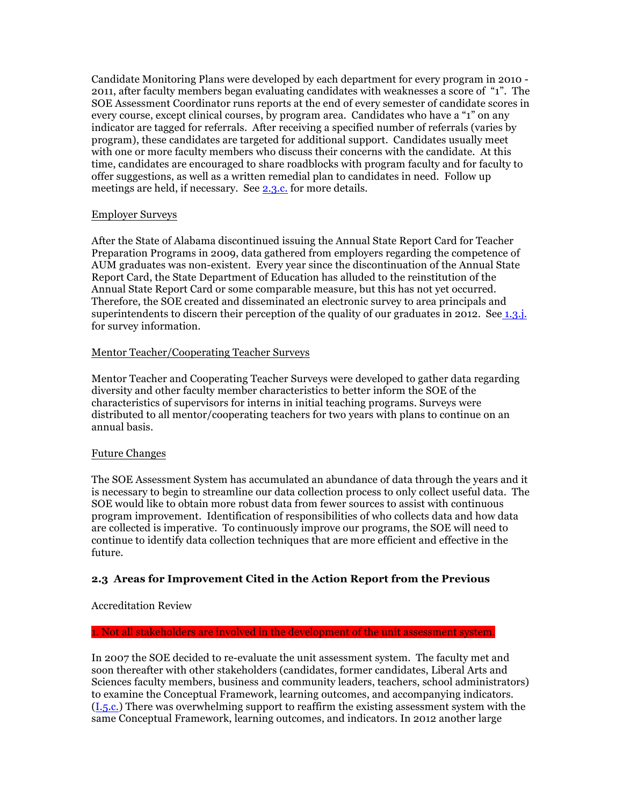Candidate Monitoring Plans were developed by each department for every program in 2010 - 2011, after faculty members began evaluating candidates with weaknesses a score of "1". The SOE Assessment Coordinator runs reports at the end of every semester of candidate scores in every course, except clinical courses, by program area. Candidates who have a "1" on any indicator are tagged for referrals. After receiving a specified number of referrals (varies by program), these candidates are targeted for additional support. Candidates usually meet with one or more faculty members who discuss their concerns with the candidate. At this time, candidates are encouraged to share roadblocks with program faculty and for faculty to offer suggestions, as well as a written remedial plan to candidates in need. Follow up meetings are held, if necessary. See 2.3.c. for more details.

### Employer Surveys

After the State of Alabama discontinued issuing the Annual State Report Card for Teacher Preparation Programs in 2009, data gathered from employers regarding the competence of AUM graduates was non-existent. Every year since the discontinuation of the Annual State Report Card, the State Department of Education has alluded to the reinstitution of the Annual State Report Card or some comparable measure, but this has not yet occurred. Therefore, the SOE created and disseminated an electronic survey to area principals and superintendents to discern their perception of the quality of our graduates in 2012. See 1.3.j. for survey information.

### Mentor Teacher/Cooperating Teacher Surveys

Mentor Teacher and Cooperating Teacher Surveys were developed to gather data regarding diversity and other faculty member characteristics to better inform the SOE of the characteristics of supervisors for interns in initial teaching programs. Surveys were distributed to all mentor/cooperating teachers for two years with plans to continue on an annual basis.

### Future Changes

The SOE Assessment System has accumulated an abundance of data through the years and it is necessary to begin to streamline our data collection process to only collect useful data. The SOE would like to obtain more robust data from fewer sources to assist with continuous program improvement. Identification of responsibilities of who collects data and how data are collected is imperative. To continuously improve our programs, the SOE will need to continue to identify data collection techniques that are more efficient and effective in the future.

### **2.3 Areas for Improvement Cited in the Action Report from the Previous**

### Accreditation Review

### 1. Not all stakeholders are involved in the development of the unit assessment system.

In 2007 the SOE decided to re-evaluate the unit assessment system. The faculty met and soon thereafter with other stakeholders (candidates, former candidates, Liberal Arts and Sciences faculty members, business and community leaders, teachers, school administrators) to examine the Conceptual Framework, learning outcomes, and accompanying indicators. (I.5.c.) There was overwhelming support to reaffirm the existing assessment system with the same Conceptual Framework, learning outcomes, and indicators. In 2012 another large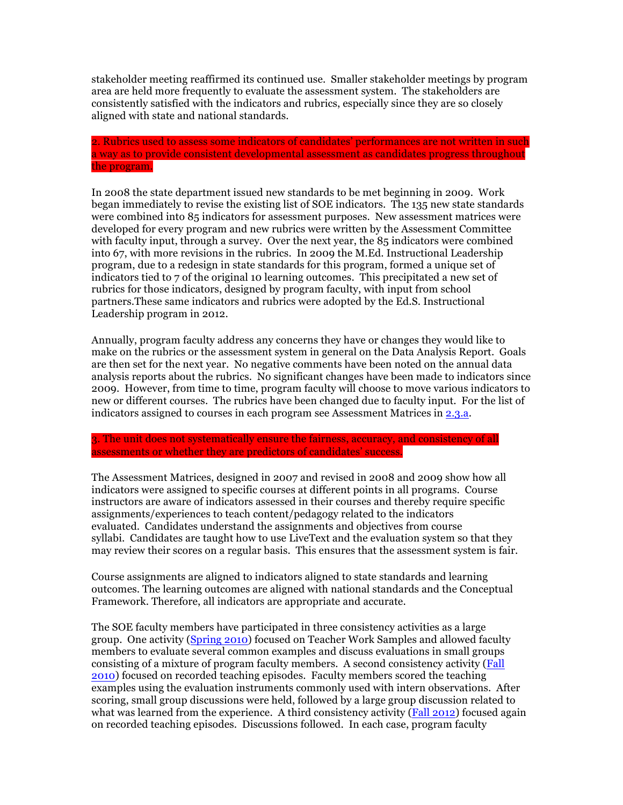stakeholder meeting reaffirmed its continued use. Smaller stakeholder meetings by program area are held more frequently to evaluate the assessment system. The stakeholders are consistently satisfied with the indicators and rubrics, especially since they are so closely aligned with state and national standards.

2. Rubrics used to assess some indicators of candidates' performances are not written in such a way as to provide consistent developmental assessment as candidates progress throughout the program.

In 2008 the state department issued new standards to be met beginning in 2009. Work began immediately to revise the existing list of SOE indicators. The 135 new state standards were combined into 85 indicators for assessment purposes. New assessment matrices were developed for every program and new rubrics were written by the Assessment Committee with faculty input, through a survey. Over the next year, the 85 indicators were combined into 67, with more revisions in the rubrics. In 2009 the M.Ed. Instructional Leadership program, due to a redesign in state standards for this program, formed a unique set of indicators tied to 7 of the original 10 learning outcomes. This precipitated a new set of rubrics for those indicators, designed by program faculty, with input from school partners.These same indicators and rubrics were adopted by the Ed.S. Instructional Leadership program in 2012.

Annually, program faculty address any concerns they have or changes they would like to make on the rubrics or the assessment system in general on the Data Analysis Report. Goals are then set for the next year. No negative comments have been noted on the annual data analysis reports about the rubrics. No significant changes have been made to indicators since 2009. However, from time to time, program faculty will choose to move various indicators to new or different courses. The rubrics have been changed due to faculty input. For the list of indicators assigned to courses in each program see Assessment Matrices in 2.3.a.

3. The unit does not systematically ensure the fairness, accuracy, and consistency of all assessments or whether they are predictors of candidates' success.

The Assessment Matrices, designed in 2007 and revised in 2008 and 2009 show how all indicators were assigned to specific courses at different points in all programs. Course instructors are aware of indicators assessed in their courses and thereby require specific assignments/experiences to teach content/pedagogy related to the indicators evaluated. Candidates understand the assignments and objectives from course syllabi. Candidates are taught how to use LiveText and the evaluation system so that they may review their scores on a regular basis. This ensures that the assessment system is fair.

Course assignments are aligned to indicators aligned to state standards and learning outcomes. The learning outcomes are aligned with national standards and the Conceptual Framework. Therefore, all indicators are appropriate and accurate.

The SOE faculty members have participated in three consistency activities as a large group. One activity (Spring 2010) focused on Teacher Work Samples and allowed faculty members to evaluate several common examples and discuss evaluations in small groups consisting of a mixture of program faculty members. A second consistency activity (Fall 2010) focused on recorded teaching episodes. Faculty members scored the teaching examples using the evaluation instruments commonly used with intern observations. After scoring, small group discussions were held, followed by a large group discussion related to what was learned from the experience. A third consistency activity (Fall 2012) focused again on recorded teaching episodes. Discussions followed. In each case, program faculty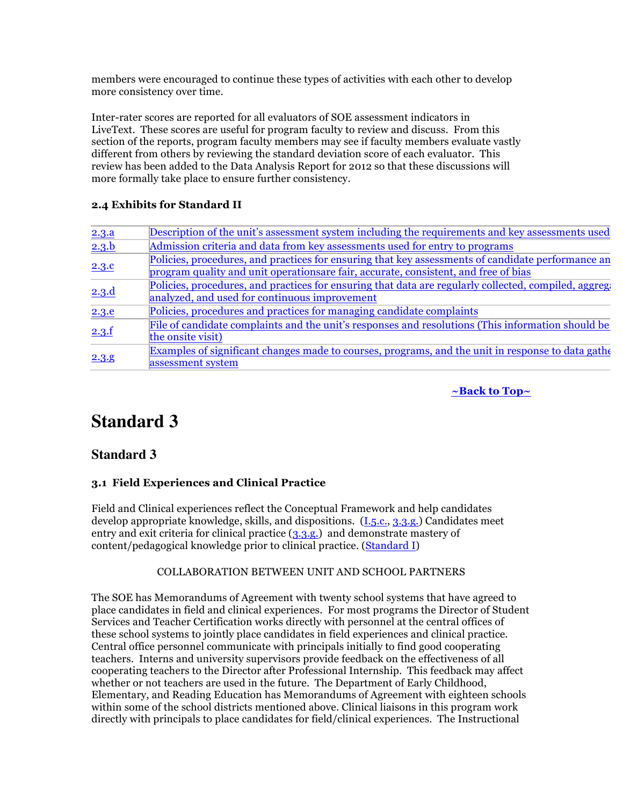members were encouraged to continue these types of activities with each other to develop more consistency over time.

Inter-rater scores are reported for all evaluators of SOE assessment indicators in LiveText. These scores are useful for program faculty to review and discuss. From this section of the reports, program faculty members may see if faculty members evaluate vastly different from others by reviewing the standard deviation score of each evaluator. This review has been added to the Data Analysis Report for 2012 so that these discussions will more formally take place to ensure further consistency.

### **2.4 Exhibits for Standard II**

| 2.3.a | Description of the unit's assessment system including the requirements and key assessments used       |
|-------|-------------------------------------------------------------------------------------------------------|
| 2.3.b | Admission criteria and data from key assessments used for entry to programs                           |
| 2.3.c | Policies, procedures, and practices for ensuring that key assessments of candidate performance an     |
|       | program quality and unit operations are fair, accurate, consistent, and free of bias                  |
|       | Policies, procedures, and practices for ensuring that data are regularly collected, compiled, aggrege |
| 2.3.d | analyzed, and used for continuous improvement                                                         |
| 2.3.e | Policies, procedures and practices for managing candidate complaints                                  |
|       | File of candidate complaints and the unit's responses and resolutions (This information should be     |
| 2.3.f | the onsite visit)                                                                                     |
|       | Examples of significant changes made to courses, programs, and the unit in response to data gather    |
| 2.3.8 | assessment system                                                                                     |

**~Back to Top~**

# **Standard 3**

### **Standard 3**

### **3.1 Field Experiences and Clinical Practice**

Field and Clinical experiences reflect the Conceptual Framework and help candidates develop appropriate knowledge, skills, and dispositions. (I.5.c., 3.3.g.) Candidates meet entry and exit criteria for clinical practice (3.3.g.) and demonstrate mastery of content/pedagogical knowledge prior to clinical practice. (Standard I)

### COLLABORATION BETWEEN UNIT AND SCHOOL PARTNERS

The SOE has Memorandums of Agreement with twenty school systems that have agreed to place candidates in field and clinical experiences. For most programs the Director of Student Services and Teacher Certification works directly with personnel at the central offices of these school systems to jointly place candidates in field experiences and clinical practice. Central office personnel communicate with principals initially to find good cooperating teachers. Interns and university supervisors provide feedback on the effectiveness of all cooperating teachers to the Director after Professional Internship. This feedback may affect whether or not teachers are used in the future. The Department of Early Childhood, Elementary, and Reading Education has Memorandums of Agreement with eighteen schools within some of the school districts mentioned above. Clinical liaisons in this program work directly with principals to place candidates for field/clinical experiences. The Instructional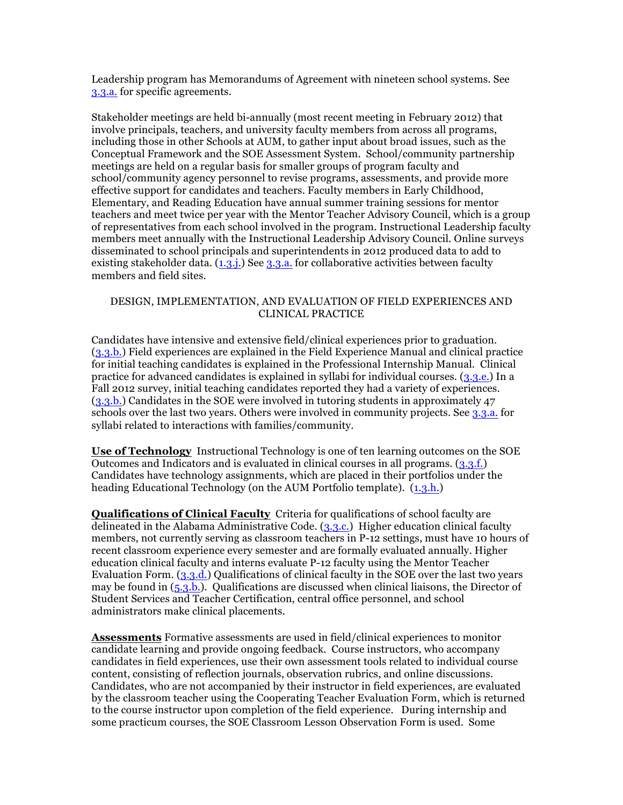Leadership program has Memorandums of Agreement with nineteen school systems. See 3.3.a. for specific agreements.

Stakeholder meetings are held bi-annually (most recent meeting in February 2012) that involve principals, teachers, and university faculty members from across all programs, including those in other Schools at AUM, to gather input about broad issues, such as the Conceptual Framework and the SOE Assessment System. School/community partnership meetings are held on a regular basis for smaller groups of program faculty and school/community agency personnel to revise programs, assessments, and provide more effective support for candidates and teachers. Faculty members in Early Childhood, Elementary, and Reading Education have annual summer training sessions for mentor teachers and meet twice per year with the Mentor Teacher Advisory Council, which is a group of representatives from each school involved in the program. Instructional Leadership faculty members meet annually with the Instructional Leadership Advisory Council. Online surveys disseminated to school principals and superintendents in 2012 produced data to add to existing stakeholder data.  $(1,3,1)$ . See 3.3.a. for collaborative activities between faculty members and field sites.

### DESIGN, IMPLEMENTATION, AND EVALUATION OF FIELD EXPERIENCES AND CLINICAL PRACTICE

Candidates have intensive and extensive field/clinical experiences prior to graduation. (3.3.b.) Field experiences are explained in the Field Experience Manual and clinical practice for initial teaching candidates is explained in the Professional Internship Manual. Clinical practice for advanced candidates is explained in syllabi for individual courses. (3.3.e.) In a Fall 2012 survey, initial teaching candidates reported they had a variety of experiences. (3.3.b.) Candidates in the SOE were involved in tutoring students in approximately 47 schools over the last two years. Others were involved in community projects. See 3.3.a. for syllabi related to interactions with families/community.

**Use of Technology** Instructional Technology is one of ten learning outcomes on the SOE Outcomes and Indicators and is evaluated in clinical courses in all programs. (3.3.f.) Candidates have technology assignments, which are placed in their portfolios under the heading Educational Technology (on the AUM Portfolio template). (1.3.h.)

**Qualifications of Clinical Faculty** Criteria for qualifications of school faculty are delineated in the Alabama Administrative Code. (3.3.c.) Higher education clinical faculty members, not currently serving as classroom teachers in P-12 settings, must have 10 hours of recent classroom experience every semester and are formally evaluated annually. Higher education clinical faculty and interns evaluate P-12 faculty using the Mentor Teacher Evaluation Form. (3.3.d.) Qualifications of clinical faculty in the SOE over the last two years may be found in (5.3.b.). Qualifications are discussed when clinical liaisons, the Director of Student Services and Teacher Certification, central office personnel, and school administrators make clinical placements.

**Assessments** Formative assessments are used in field/clinical experiences to monitor candidate learning and provide ongoing feedback. Course instructors, who accompany candidates in field experiences, use their own assessment tools related to individual course content, consisting of reflection journals, observation rubrics, and online discussions. Candidates, who are not accompanied by their instructor in field experiences, are evaluated by the classroom teacher using the Cooperating Teacher Evaluation Form, which is returned to the course instructor upon completion of the field experience. During internship and some practicum courses, the SOE Classroom Lesson Observation Form is used. Some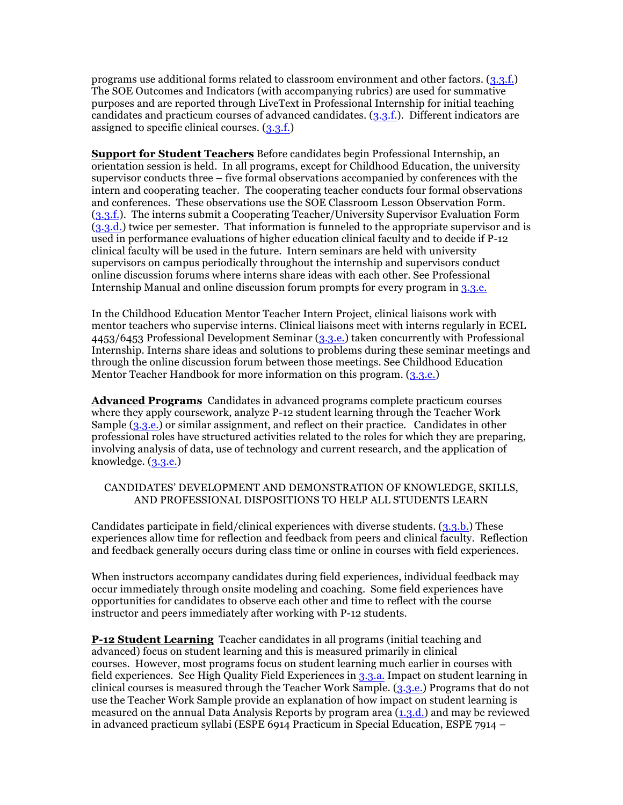programs use additional forms related to classroom environment and other factors. (3.3.f.) The SOE Outcomes and Indicators (with accompanying rubrics) are used for summative purposes and are reported through LiveText in Professional Internship for initial teaching candidates and practicum courses of advanced candidates. (3.3.f.). Different indicators are assigned to specific clinical courses. (3.3.f.)

**Support for Student Teachers** Before candidates begin Professional Internship, an orientation session is held. In all programs, except for Childhood Education, the university supervisor conducts three – five formal observations accompanied by conferences with the intern and cooperating teacher. The cooperating teacher conducts four formal observations and conferences. These observations use the SOE Classroom Lesson Observation Form. (3.3.f.). The interns submit a Cooperating Teacher/University Supervisor Evaluation Form (3.3.d.) twice per semester. That information is funneled to the appropriate supervisor and is used in performance evaluations of higher education clinical faculty and to decide if P-12 clinical faculty will be used in the future. Intern seminars are held with university supervisors on campus periodically throughout the internship and supervisors conduct online discussion forums where interns share ideas with each other. See Professional Internship Manual and online discussion forum prompts for every program in 3.3.e.

In the Childhood Education Mentor Teacher Intern Project, clinical liaisons work with mentor teachers who supervise interns. Clinical liaisons meet with interns regularly in ECEL 4453/6453 Professional Development Seminar (3.3.e.) taken concurrently with Professional Internship. Interns share ideas and solutions to problems during these seminar meetings and through the online discussion forum between those meetings. See Childhood Education Mentor Teacher Handbook for more information on this program. (3.3.e.)

**Advanced Programs** Candidates in advanced programs complete practicum courses where they apply coursework, analyze P-12 student learning through the Teacher Work Sample (3.3.e.) or similar assignment, and reflect on their practice. Candidates in other professional roles have structured activities related to the roles for which they are preparing, involving analysis of data, use of technology and current research, and the application of knowledge.  $(3,3,e)$ 

### CANDIDATES' DEVELOPMENT AND DEMONSTRATION OF KNOWLEDGE, SKILLS, AND PROFESSIONAL DISPOSITIONS TO HELP ALL STUDENTS LEARN

Candidates participate in field/clinical experiences with diverse students. (3.3.b.) These experiences allow time for reflection and feedback from peers and clinical faculty. Reflection and feedback generally occurs during class time or online in courses with field experiences.

When instructors accompany candidates during field experiences, individual feedback may occur immediately through onsite modeling and coaching. Some field experiences have opportunities for candidates to observe each other and time to reflect with the course instructor and peers immediately after working with P-12 students.

**P-12 Student Learning** Teacher candidates in all programs (initial teaching and advanced) focus on student learning and this is measured primarily in clinical courses. However, most programs focus on student learning much earlier in courses with field experiences. See High Quality Field Experiences in 3.3.a. Impact on student learning in clinical courses is measured through the Teacher Work Sample. (3.3.e.) Programs that do not use the Teacher Work Sample provide an explanation of how impact on student learning is measured on the annual Data Analysis Reports by program area (1.3.d.) and may be reviewed in advanced practicum syllabi (ESPE 6914 Practicum in Special Education, ESPE 7914 –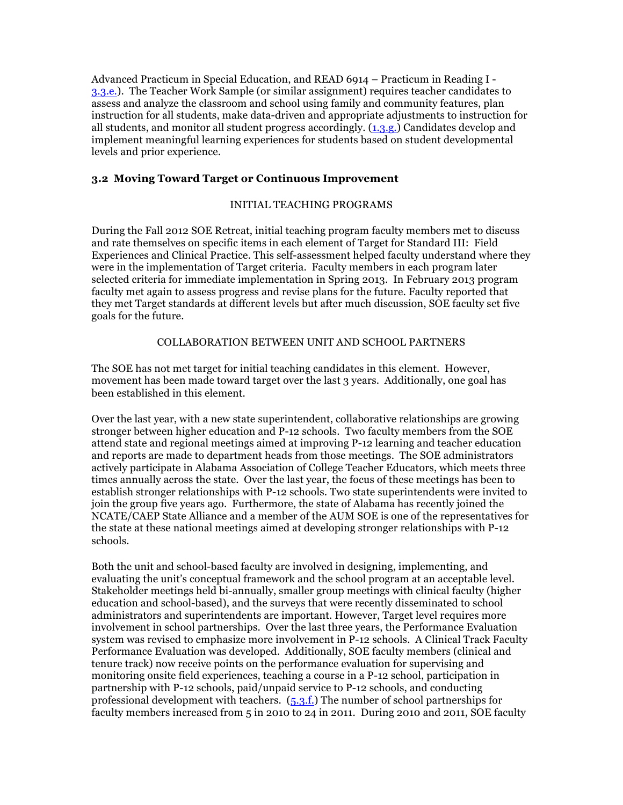Advanced Practicum in Special Education, and READ 6914 – Practicum in Reading I - 3.3.e.). The Teacher Work Sample (or similar assignment) requires teacher candidates to assess and analyze the classroom and school using family and community features, plan instruction for all students, make data-driven and appropriate adjustments to instruction for all students, and monitor all student progress accordingly. (1.3.g.) Candidates develop and implement meaningful learning experiences for students based on student developmental levels and prior experience.

### **3.2 Moving Toward Target or Continuous Improvement**

### INITIAL TEACHING PROGRAMS

During the Fall 2012 SOE Retreat, initial teaching program faculty members met to discuss and rate themselves on specific items in each element of Target for Standard III: Field Experiences and Clinical Practice. This self-assessment helped faculty understand where they were in the implementation of Target criteria. Faculty members in each program later selected criteria for immediate implementation in Spring 2013. In February 2013 program faculty met again to assess progress and revise plans for the future. Faculty reported that they met Target standards at different levels but after much discussion, SOE faculty set five goals for the future.

### COLLABORATION BETWEEN UNIT AND SCHOOL PARTNERS

The SOE has not met target for initial teaching candidates in this element. However, movement has been made toward target over the last 3 years. Additionally, one goal has been established in this element.

Over the last year, with a new state superintendent, collaborative relationships are growing stronger between higher education and P-12 schools. Two faculty members from the SOE attend state and regional meetings aimed at improving P-12 learning and teacher education and reports are made to department heads from those meetings. The SOE administrators actively participate in Alabama Association of College Teacher Educators, which meets three times annually across the state. Over the last year, the focus of these meetings has been to establish stronger relationships with P-12 schools. Two state superintendents were invited to join the group five years ago. Furthermore, the state of Alabama has recently joined the NCATE/CAEP State Alliance and a member of the AUM SOE is one of the representatives for the state at these national meetings aimed at developing stronger relationships with P-12 schools.

Both the unit and school-based faculty are involved in designing, implementing, and evaluating the unit's conceptual framework and the school program at an acceptable level. Stakeholder meetings held bi-annually, smaller group meetings with clinical faculty (higher education and school-based), and the surveys that were recently disseminated to school administrators and superintendents are important. However, Target level requires more involvement in school partnerships. Over the last three years, the Performance Evaluation system was revised to emphasize more involvement in P-12 schools. A Clinical Track Faculty Performance Evaluation was developed. Additionally, SOE faculty members (clinical and tenure track) now receive points on the performance evaluation for supervising and monitoring onsite field experiences, teaching a course in a P-12 school, participation in partnership with P-12 schools, paid/unpaid service to P-12 schools, and conducting professional development with teachers.  $(5.3.f.)$  The number of school partnerships for faculty members increased from 5 in 2010 to 24 in 2011. During 2010 and 2011, SOE faculty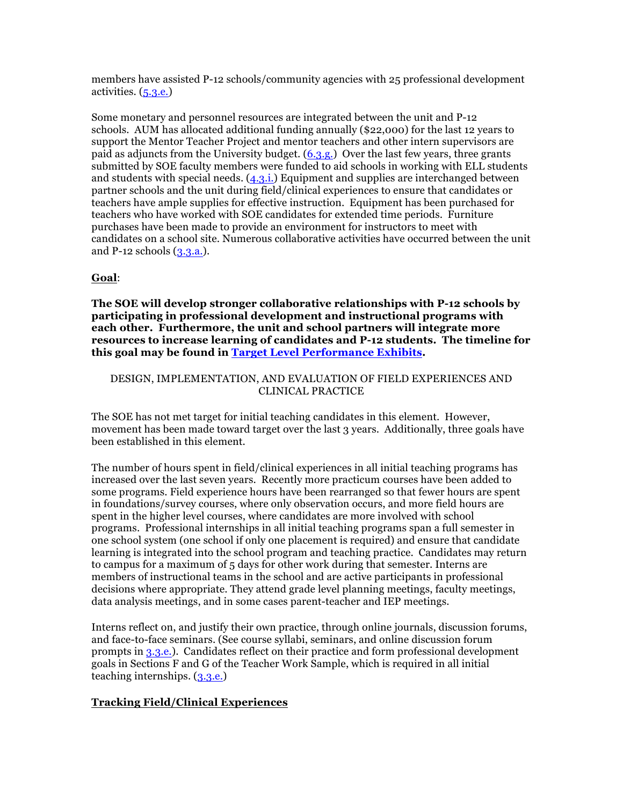members have assisted P-12 schools/community agencies with 25 professional development activities. (5.3.e.)

Some monetary and personnel resources are integrated between the unit and P-12 schools. AUM has allocated additional funding annually (\$22,000) for the last 12 years to support the Mentor Teacher Project and mentor teachers and other intern supervisors are paid as adjuncts from the University budget. (6.3.g.) Over the last few years, three grants submitted by SOE faculty members were funded to aid schools in working with ELL students and students with special needs. (4.3.i.) Equipment and supplies are interchanged between partner schools and the unit during field/clinical experiences to ensure that candidates or teachers have ample supplies for effective instruction. Equipment has been purchased for teachers who have worked with SOE candidates for extended time periods. Furniture purchases have been made to provide an environment for instructors to meet with candidates on a school site. Numerous collaborative activities have occurred between the unit and P-12 schools  $(3,3,a)$ .

### **Goal**:

**The SOE will develop stronger collaborative relationships with P-12 schools by participating in professional development and instructional programs with each other. Furthermore, the unit and school partners will integrate more resources to increase learning of candidates and P-12 students. The timeline for this goal may be found in Target Level Performance Exhibits.**

### DESIGN, IMPLEMENTATION, AND EVALUATION OF FIELD EXPERIENCES AND CLINICAL PRACTICE

The SOE has not met target for initial teaching candidates in this element. However, movement has been made toward target over the last 3 years. Additionally, three goals have been established in this element.

The number of hours spent in field/clinical experiences in all initial teaching programs has increased over the last seven years. Recently more practicum courses have been added to some programs. Field experience hours have been rearranged so that fewer hours are spent in foundations/survey courses, where only observation occurs, and more field hours are spent in the higher level courses, where candidates are more involved with school programs. Professional internships in all initial teaching programs span a full semester in one school system (one school if only one placement is required) and ensure that candidate learning is integrated into the school program and teaching practice. Candidates may return to campus for a maximum of 5 days for other work during that semester. Interns are members of instructional teams in the school and are active participants in professional decisions where appropriate. They attend grade level planning meetings, faculty meetings, data analysis meetings, and in some cases parent-teacher and IEP meetings.

Interns reflect on, and justify their own practice, through online journals, discussion forums, and face-to-face seminars. (See course syllabi, seminars, and online discussion forum prompts in 3.3.e.). Candidates reflect on their practice and form professional development goals in Sections F and G of the Teacher Work Sample, which is required in all initial teaching internships. (3.3.e.)

### **Tracking Field/Clinical Experiences**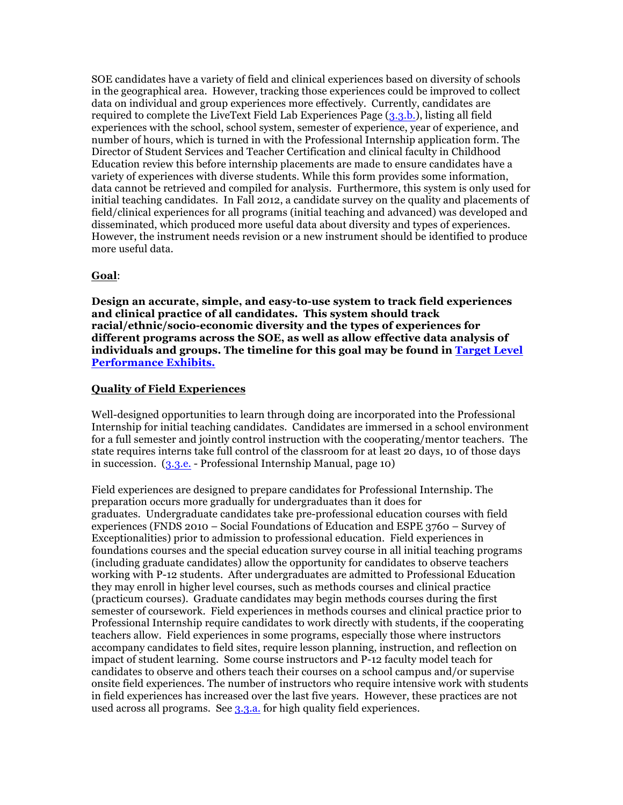SOE candidates have a variety of field and clinical experiences based on diversity of schools in the geographical area. However, tracking those experiences could be improved to collect data on individual and group experiences more effectively. Currently, candidates are required to complete the LiveText Field Lab Experiences Page (3.3.b.), listing all field experiences with the school, school system, semester of experience, year of experience, and number of hours, which is turned in with the Professional Internship application form. The Director of Student Services and Teacher Certification and clinical faculty in Childhood Education review this before internship placements are made to ensure candidates have a variety of experiences with diverse students. While this form provides some information, data cannot be retrieved and compiled for analysis. Furthermore, this system is only used for initial teaching candidates. In Fall 2012, a candidate survey on the quality and placements of field/clinical experiences for all programs (initial teaching and advanced) was developed and disseminated, which produced more useful data about diversity and types of experiences. However, the instrument needs revision or a new instrument should be identified to produce more useful data.

### **Goal**:

**Design an accurate, simple, and easy-to-use system to track field experiences and clinical practice of all candidates. This system should track racial/ethnic/socio-economic diversity and the types of experiences for different programs across the SOE, as well as allow effective data analysis of individuals and groups. The timeline for this goal may be found in Target Level Performance Exhibits.**

### **Quality of Field Experiences**

Well-designed opportunities to learn through doing are incorporated into the Professional Internship for initial teaching candidates. Candidates are immersed in a school environment for a full semester and jointly control instruction with the cooperating/mentor teachers. The state requires interns take full control of the classroom for at least 20 days, 10 of those days in succession. (3.3.e. - Professional Internship Manual, page 10)

Field experiences are designed to prepare candidates for Professional Internship. The preparation occurs more gradually for undergraduates than it does for graduates. Undergraduate candidates take pre-professional education courses with field experiences (FNDS 2010 – Social Foundations of Education and ESPE 3760 – Survey of Exceptionalities) prior to admission to professional education. Field experiences in foundations courses and the special education survey course in all initial teaching programs (including graduate candidates) allow the opportunity for candidates to observe teachers working with P-12 students. After undergraduates are admitted to Professional Education they may enroll in higher level courses, such as methods courses and clinical practice (practicum courses). Graduate candidates may begin methods courses during the first semester of coursework. Field experiences in methods courses and clinical practice prior to Professional Internship require candidates to work directly with students, if the cooperating teachers allow. Field experiences in some programs, especially those where instructors accompany candidates to field sites, require lesson planning, instruction, and reflection on impact of student learning. Some course instructors and P-12 faculty model teach for candidates to observe and others teach their courses on a school campus and/or supervise onsite field experiences. The number of instructors who require intensive work with students in field experiences has increased over the last five years. However, these practices are not used across all programs. See 3.3.a. for high quality field experiences.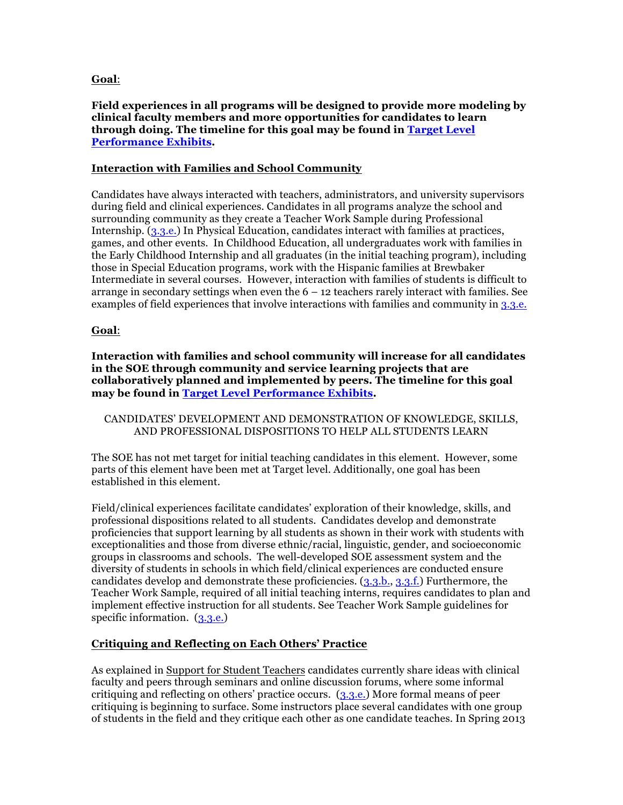### **Goal**:

**Field experiences in all programs will be designed to provide more modeling by clinical faculty members and more opportunities for candidates to learn through doing. The timeline for this goal may be found in Target Level Performance Exhibits.**

### **Interaction with Families and School Community**

Candidates have always interacted with teachers, administrators, and university supervisors during field and clinical experiences. Candidates in all programs analyze the school and surrounding community as they create a Teacher Work Sample during Professional Internship. (3.3.e.) In Physical Education, candidates interact with families at practices, games, and other events. In Childhood Education, all undergraduates work with families in the Early Childhood Internship and all graduates (in the initial teaching program), including those in Special Education programs, work with the Hispanic families at Brewbaker Intermediate in several courses. However, interaction with families of students is difficult to arrange in secondary settings when even the  $6 - 12$  teachers rarely interact with families. See examples of field experiences that involve interactions with families and community in 3.3.e.

### **Goal**:

**Interaction with families and school community will increase for all candidates in the SOE through community and service learning projects that are collaboratively planned and implemented by peers. The timeline for this goal may be found in Target Level Performance Exhibits.**

CANDIDATES' DEVELOPMENT AND DEMONSTRATION OF KNOWLEDGE, SKILLS, AND PROFESSIONAL DISPOSITIONS TO HELP ALL STUDENTS LEARN

The SOE has not met target for initial teaching candidates in this element. However, some parts of this element have been met at Target level. Additionally, one goal has been established in this element.

Field/clinical experiences facilitate candidates' exploration of their knowledge, skills, and professional dispositions related to all students. Candidates develop and demonstrate proficiencies that support learning by all students as shown in their work with students with exceptionalities and those from diverse ethnic/racial, linguistic, gender, and socioeconomic groups in classrooms and schools. The well-developed SOE assessment system and the diversity of students in schools in which field/clinical experiences are conducted ensure candidates develop and demonstrate these proficiencies. (3.3.b., 3.3.f.) Furthermore, the Teacher Work Sample, required of all initial teaching interns, requires candidates to plan and implement effective instruction for all students. See Teacher Work Sample guidelines for specific information. (3.3.e.)

### **Critiquing and Reflecting on Each Others' Practice**

As explained in Support for Student Teachers candidates currently share ideas with clinical faculty and peers through seminars and online discussion forums, where some informal critiquing and reflecting on others' practice occurs. (3.3.e.) More formal means of peer critiquing is beginning to surface. Some instructors place several candidates with one group of students in the field and they critique each other as one candidate teaches. In Spring 2013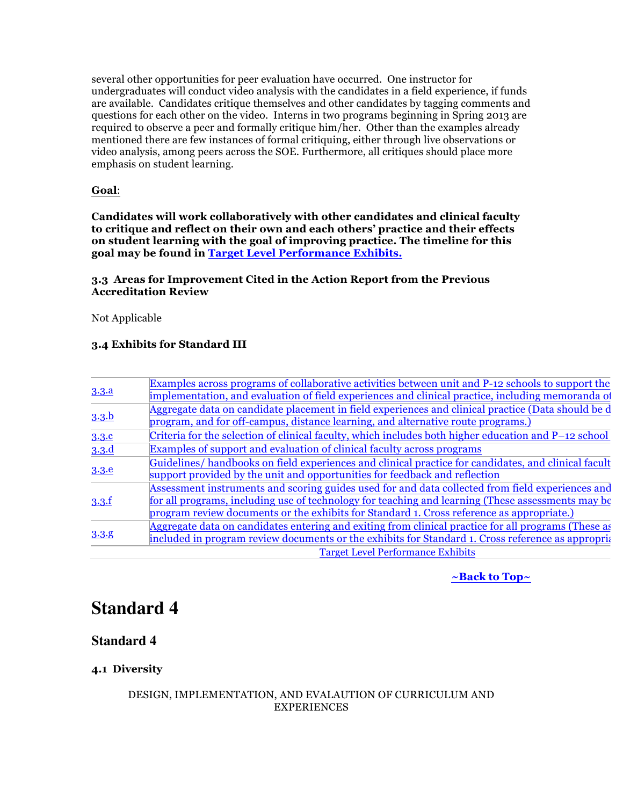several other opportunities for peer evaluation have occurred. One instructor for undergraduates will conduct video analysis with the candidates in a field experience, if funds are available. Candidates critique themselves and other candidates by tagging comments and questions for each other on the video. Interns in two programs beginning in Spring 2013 are required to observe a peer and formally critique him/her. Other than the examples already mentioned there are few instances of formal critiquing, either through live observations or video analysis, among peers across the SOE. Furthermore, all critiques should place more emphasis on student learning.

### **Goal**:

**Candidates will work collaboratively with other candidates and clinical faculty to critique and reflect on their own and each others' practice and their effects on student learning with the goal of improving practice. The timeline for this goal may be found in Target Level Performance Exhibits.**

### **3.3 Areas for Improvement Cited in the Action Report from the Previous Accreditation Review**

Not Applicable

### **3.4 Exhibits for Standard III**

| 3.3.a | Examples across programs of collaborative activities between unit and P-12 schools to support the    |
|-------|------------------------------------------------------------------------------------------------------|
|       | implementation, and evaluation of field experiences and clinical practice, including memoranda of    |
| 3.3.b | Aggregate data on candidate placement in field experiences and clinical practice (Data should be d   |
|       | program, and for off-campus, distance learning, and alternative route programs.)                     |
| 3.3.c | Criteria for the selection of clinical faculty, which includes both higher education and P-12 school |
| 3.3.d | Examples of support and evaluation of clinical faculty across programs                               |
|       | Guidelines/handbooks on field experiences and clinical practice for candidates, and clinical facult  |
| 3.3.e | support provided by the unit and opportunities for feedback and reflection                           |
|       | Assessment instruments and scoring guides used for and data collected from field experiences and     |
| 3.3.f | for all programs, including use of technology for teaching and learning (These assessments may be    |
|       | program review documents or the exhibits for Standard 1. Cross reference as appropriate.)            |
| 3.3.8 | Aggregate data on candidates entering and exiting from clinical practice for all programs (These as  |
|       | included in program review documents or the exhibits for Standard 1. Cross reference as appropria    |
|       | <b>Target Level Performance Exhibits</b>                                                             |

### **~Back to Top~**

# **Standard 4**

### **Standard 4**

### **4.1 Diversity**

### DESIGN, IMPLEMENTATION, AND EVALAUTION OF CURRICULUM AND EXPERIENCES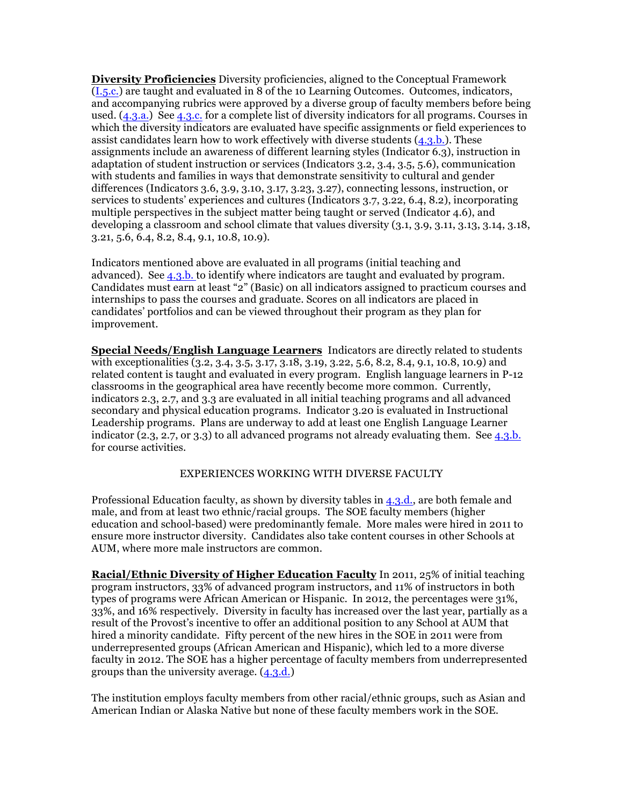**Diversity Proficiencies** Diversity proficiencies, aligned to the Conceptual Framework (I.5.c.) are taught and evaluated in 8 of the 10 Learning Outcomes. Outcomes, indicators, and accompanying rubrics were approved by a diverse group of faculty members before being used. (4.3.a.) See 4.3.c. for a complete list of diversity indicators for all programs. Courses in which the diversity indicators are evaluated have specific assignments or field experiences to assist candidates learn how to work effectively with diverse students  $(4.3.b.)$ . These assignments include an awareness of different learning styles (Indicator 6.3), instruction in adaptation of student instruction or services (Indicators 3.2, 3.4, 3.5, 5.6), communication with students and families in ways that demonstrate sensitivity to cultural and gender differences (Indicators 3.6, 3.9, 3.10, 3.17, 3.23, 3.27), connecting lessons, instruction, or services to students' experiences and cultures (Indicators 3.7, 3.22, 6.4, 8.2), incorporating multiple perspectives in the subject matter being taught or served (Indicator 4.6), and developing a classroom and school climate that values diversity (3.1, 3.9, 3.11, 3.13, 3.14, 3.18, 3.21, 5.6, 6.4, 8.2, 8.4, 9.1, 10.8, 10.9).

Indicators mentioned above are evaluated in all programs (initial teaching and advanced). See 4.3.b. to identify where indicators are taught and evaluated by program. Candidates must earn at least "2" (Basic) on all indicators assigned to practicum courses and internships to pass the courses and graduate. Scores on all indicators are placed in candidates' portfolios and can be viewed throughout their program as they plan for improvement.

**Special Needs/English Language Learners** Indicators are directly related to students with exceptionalities (3.2, 3.4, 3.5, 3.17, 3.18, 3.19, 3.22, 5.6, 8.2, 8.4, 9.1, 10.8, 10.9) and related content is taught and evaluated in every program. English language learners in P-12 classrooms in the geographical area have recently become more common. Currently, indicators 2.3, 2.7, and 3.3 are evaluated in all initial teaching programs and all advanced secondary and physical education programs. Indicator 3.20 is evaluated in Instructional Leadership programs. Plans are underway to add at least one English Language Learner indicator  $(2.3, 2.7, 0.7, 3.3)$  to all advanced programs not already evaluating them. See 4.3.b. for course activities.

### EXPERIENCES WORKING WITH DIVERSE FACULTY

Professional Education faculty, as shown by diversity tables in 4.3.d., are both female and male, and from at least two ethnic/racial groups. The SOE faculty members (higher education and school-based) were predominantly female. More males were hired in 2011 to ensure more instructor diversity. Candidates also take content courses in other Schools at AUM, where more male instructors are common.

**Racial/Ethnic Diversity of Higher Education Faculty** In 2011, 25% of initial teaching program instructors, 33% of advanced program instructors, and 11% of instructors in both types of programs were African American or Hispanic. In 2012, the percentages were 31%, 33%, and 16% respectively. Diversity in faculty has increased over the last year, partially as a result of the Provost's incentive to offer an additional position to any School at AUM that hired a minority candidate. Fifty percent of the new hires in the SOE in 2011 were from underrepresented groups (African American and Hispanic), which led to a more diverse faculty in 2012. The SOE has a higher percentage of faculty members from underrepresented groups than the university average. (4.3.d.)

The institution employs faculty members from other racial/ethnic groups, such as Asian and American Indian or Alaska Native but none of these faculty members work in the SOE.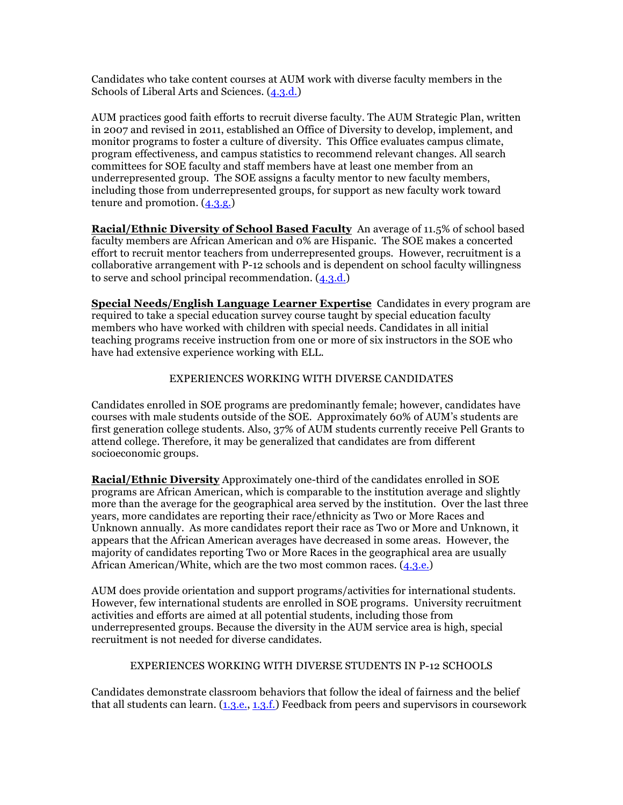Candidates who take content courses at AUM work with diverse faculty members in the Schools of Liberal Arts and Sciences. (4.3.d.)

AUM practices good faith efforts to recruit diverse faculty. The AUM Strategic Plan, written in 2007 and revised in 2011, established an Office of Diversity to develop, implement, and monitor programs to foster a culture of diversity. This Office evaluates campus climate, program effectiveness, and campus statistics to recommend relevant changes. All search committees for SOE faculty and staff members have at least one member from an underrepresented group. The SOE assigns a faculty mentor to new faculty members, including those from underrepresented groups, for support as new faculty work toward tenure and promotion.  $(4.3.9)$ 

**Racial/Ethnic Diversity of School Based Faculty** An average of 11.5% of school based faculty members are African American and 0% are Hispanic. The SOE makes a concerted effort to recruit mentor teachers from underrepresented groups. However, recruitment is a collaborative arrangement with P-12 schools and is dependent on school faculty willingness to serve and school principal recommendation. (4.3.d.)

**Special Needs/English Language Learner Expertise** Candidates in every program are required to take a special education survey course taught by special education faculty members who have worked with children with special needs. Candidates in all initial teaching programs receive instruction from one or more of six instructors in the SOE who have had extensive experience working with ELL.

### EXPERIENCES WORKING WITH DIVERSE CANDIDATES

Candidates enrolled in SOE programs are predominantly female; however, candidates have courses with male students outside of the SOE. Approximately 60% of AUM's students are first generation college students. Also, 37% of AUM students currently receive Pell Grants to attend college. Therefore, it may be generalized that candidates are from different socioeconomic groups.

**Racial/Ethnic Diversity** Approximately one-third of the candidates enrolled in SOE programs are African American, which is comparable to the institution average and slightly more than the average for the geographical area served by the institution. Over the last three years, more candidates are reporting their race/ethnicity as Two or More Races and Unknown annually. As more candidates report their race as Two or More and Unknown, it appears that the African American averages have decreased in some areas. However, the majority of candidates reporting Two or More Races in the geographical area are usually African American/White, which are the two most common races. (4.3.e.)

AUM does provide orientation and support programs/activities for international students. However, few international students are enrolled in SOE programs. University recruitment activities and efforts are aimed at all potential students, including those from underrepresented groups. Because the diversity in the AUM service area is high, special recruitment is not needed for diverse candidates.

### EXPERIENCES WORKING WITH DIVERSE STUDENTS IN P-12 SCHOOLS

Candidates demonstrate classroom behaviors that follow the ideal of fairness and the belief that all students can learn.  $(1,3,e, 1,3,f)$  Feedback from peers and supervisors in coursework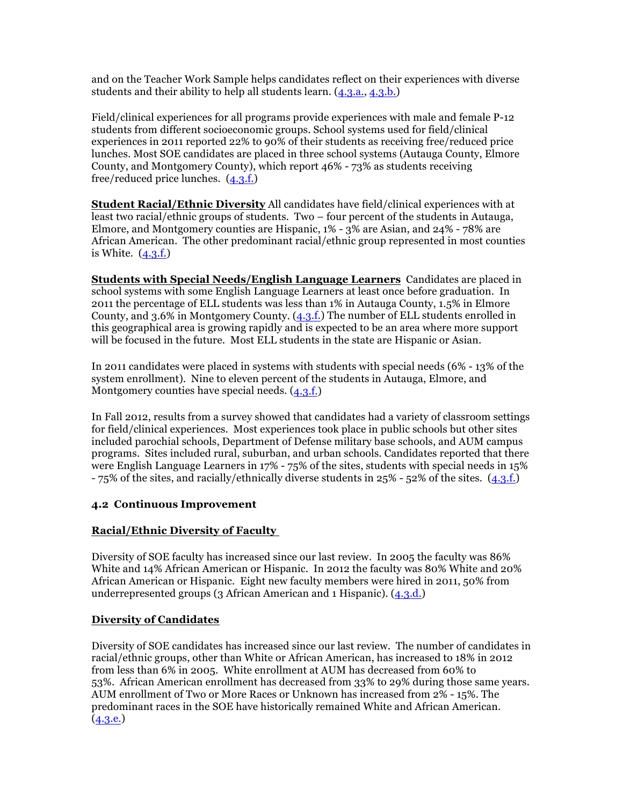and on the Teacher Work Sample helps candidates reflect on their experiences with diverse students and their ability to help all students learn. (4.3.a., 4.3.b.)

Field/clinical experiences for all programs provide experiences with male and female P-12 students from different socioeconomic groups. School systems used for field/clinical experiences in 2011 reported 22% to 90% of their students as receiving free/reduced price lunches. Most SOE candidates are placed in three school systems (Autauga County, Elmore County, and Montgomery County), which report 46% - 73% as students receiving free/reduced price lunches.  $(4.3.f.)$ 

**Student Racial/Ethnic Diversity** All candidates have field/clinical experiences with at least two racial/ethnic groups of students. Two – four percent of the students in Autauga, Elmore, and Montgomery counties are Hispanic, 1% - 3% are Asian, and 24% - 78% are African American. The other predominant racial/ethnic group represented in most counties is White.  $(4.3.f.)$ 

**Students with Special Needs/English Language Learners** Candidates are placed in school systems with some English Language Learners at least once before graduation. In 2011 the percentage of ELL students was less than 1% in Autauga County, 1.5% in Elmore County, and 3.6% in Montgomery County. (4.3.f.) The number of ELL students enrolled in this geographical area is growing rapidly and is expected to be an area where more support will be focused in the future. Most ELL students in the state are Hispanic or Asian.

In 2011 candidates were placed in systems with students with special needs (6% - 13% of the system enrollment). Nine to eleven percent of the students in Autauga, Elmore, and Montgomery counties have special needs.  $(4.3.f.)$ 

In Fall 2012, results from a survey showed that candidates had a variety of classroom settings for field/clinical experiences. Most experiences took place in public schools but other sites included parochial schools, Department of Defense military base schools, and AUM campus programs. Sites included rural, suburban, and urban schools. Candidates reported that there were English Language Learners in 17% - 75% of the sites, students with special needs in 15%  $-75\%$  of the sites, and racially/ethnically diverse students in 25% - 52% of the sites.  $(4.3.f.)$ 

### **4.2 Continuous Improvement**

### **Racial/Ethnic Diversity of Faculty**

Diversity of SOE faculty has increased since our last review. In 2005 the faculty was 86% White and 14% African American or Hispanic. In 2012 the faculty was 80% White and 20% African American or Hispanic. Eight new faculty members were hired in 2011, 50% from underrepresented groups (3 African American and 1 Hispanic). (4.3.d.)

### **Diversity of Candidates**

Diversity of SOE candidates has increased since our last review. The number of candidates in racial/ethnic groups, other than White or African American, has increased to 18% in 2012 from less than 6% in 2005. White enrollment at AUM has decreased from 60% to 53%. African American enrollment has decreased from 33% to 29% during those same years. AUM enrollment of Two or More Races or Unknown has increased from 2% - 15%. The predominant races in the SOE have historically remained White and African American.  $(4.3.e.)$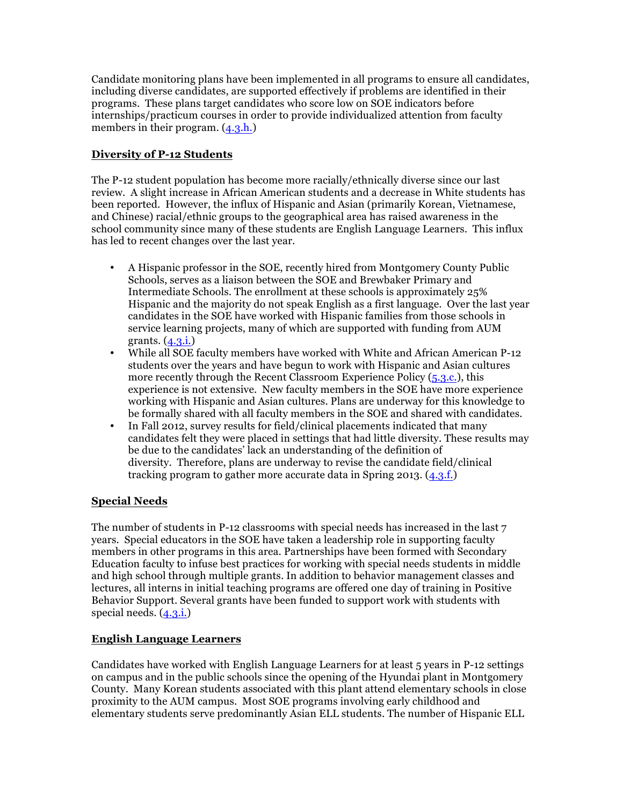Candidate monitoring plans have been implemented in all programs to ensure all candidates, including diverse candidates, are supported effectively if problems are identified in their programs. These plans target candidates who score low on SOE indicators before internships/practicum courses in order to provide individualized attention from faculty members in their program.  $(4.3.h.)$ 

### **Diversity of P-12 Students**

The P-12 student population has become more racially/ethnically diverse since our last review. A slight increase in African American students and a decrease in White students has been reported. However, the influx of Hispanic and Asian (primarily Korean, Vietnamese, and Chinese) racial/ethnic groups to the geographical area has raised awareness in the school community since many of these students are English Language Learners. This influx has led to recent changes over the last year.

- A Hispanic professor in the SOE, recently hired from Montgomery County Public Schools, serves as a liaison between the SOE and Brewbaker Primary and Intermediate Schools. The enrollment at these schools is approximately 25% Hispanic and the majority do not speak English as a first language. Over the last year candidates in the SOE have worked with Hispanic families from those schools in service learning projects, many of which are supported with funding from AUM grants. (4.3.i.)
- While all SOE faculty members have worked with White and African American P-12 students over the years and have begun to work with Hispanic and Asian cultures more recently through the Recent Classroom Experience Policy (5.3.c.), this experience is not extensive. New faculty members in the SOE have more experience working with Hispanic and Asian cultures. Plans are underway for this knowledge to be formally shared with all faculty members in the SOE and shared with candidates.
- In Fall 2012, survey results for field/clinical placements indicated that many candidates felt they were placed in settings that had little diversity. These results may be due to the candidates' lack an understanding of the definition of diversity. Therefore, plans are underway to revise the candidate field/clinical tracking program to gather more accurate data in Spring 2013. (4.3.f.)

### **Special Needs**

The number of students in P-12 classrooms with special needs has increased in the last 7 years. Special educators in the SOE have taken a leadership role in supporting faculty members in other programs in this area. Partnerships have been formed with Secondary Education faculty to infuse best practices for working with special needs students in middle and high school through multiple grants. In addition to behavior management classes and lectures, all interns in initial teaching programs are offered one day of training in Positive Behavior Support. Several grants have been funded to support work with students with special needs. (4.3.i.)

### **English Language Learners**

Candidates have worked with English Language Learners for at least 5 years in P-12 settings on campus and in the public schools since the opening of the Hyundai plant in Montgomery County. Many Korean students associated with this plant attend elementary schools in close proximity to the AUM campus. Most SOE programs involving early childhood and elementary students serve predominantly Asian ELL students. The number of Hispanic ELL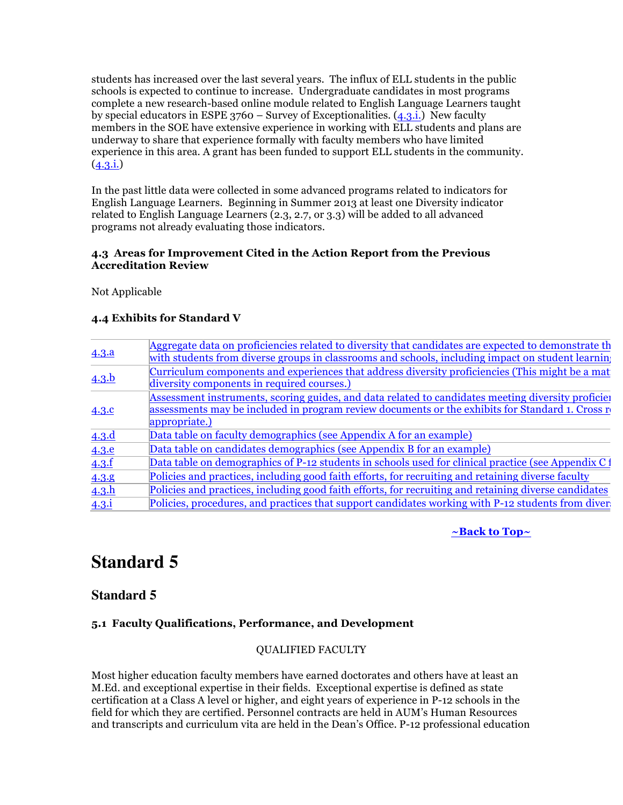students has increased over the last several years. The influx of ELL students in the public schools is expected to continue to increase. Undergraduate candidates in most programs complete a new research-based online module related to English Language Learners taught by special educators in ESPE 3760 – Survey of Exceptionalities. (4.3.i.) New faculty members in the SOE have extensive experience in working with ELL students and plans are underway to share that experience formally with faculty members who have limited experience in this area. A grant has been funded to support ELL students in the community.  $(4.3.i.)$ 

In the past little data were collected in some advanced programs related to indicators for English Language Learners. Beginning in Summer 2013 at least one Diversity indicator related to English Language Learners (2.3, 2.7, or 3.3) will be added to all advanced programs not already evaluating those indicators.

### **4.3 Areas for Improvement Cited in the Action Report from the Previous Accreditation Review**

Not Applicable

### **4.4 Exhibits for Standard V**

| 4.3.a          | Aggregate data on proficiencies related to diversity that candidates are expected to demonstrate the<br>with students from diverse groups in classrooms and schools, including impact on student learning |
|----------------|-----------------------------------------------------------------------------------------------------------------------------------------------------------------------------------------------------------|
| 4.3.b          | Curriculum components and experiences that address diversity proficiencies (This might be a mat<br>diversity components in required courses.)                                                             |
| 4.3.c          | Assessment instruments, scoring guides, and data related to candidates meeting diversity proficiel<br>assessments may be included in program review documents or the exhibits for Standard 1. Cross re    |
| 4.3.d          | appropriate.)<br>Data table on faculty demographics (see Appendix A for an example)                                                                                                                       |
| 4.3.e          | Data table on candidates demographics (see Appendix B for an example)                                                                                                                                     |
| 4.3.f<br>4.3.8 | Data table on demographics of P-12 students in schools used for clinical practice (see Appendix C1<br>Policies and practices, including good faith efforts, for recruiting and retaining diverse faculty  |
| 4.3.h          | Policies and practices, including good faith efforts, for recruiting and retaining diverse candidates                                                                                                     |
| $4.3.\dot{1}$  | Policies, procedures, and practices that support candidates working with P-12 students from diver-                                                                                                        |

**~Back to Top~**

# **Standard 5**

### **Standard 5**

### **5.1 Faculty Qualifications, Performance, and Development**

### QUALIFIED FACULTY

Most higher education faculty members have earned doctorates and others have at least an M.Ed. and exceptional expertise in their fields. Exceptional expertise is defined as state certification at a Class A level or higher, and eight years of experience in P-12 schools in the field for which they are certified. Personnel contracts are held in AUM's Human Resources and transcripts and curriculum vita are held in the Dean's Office. P-12 professional education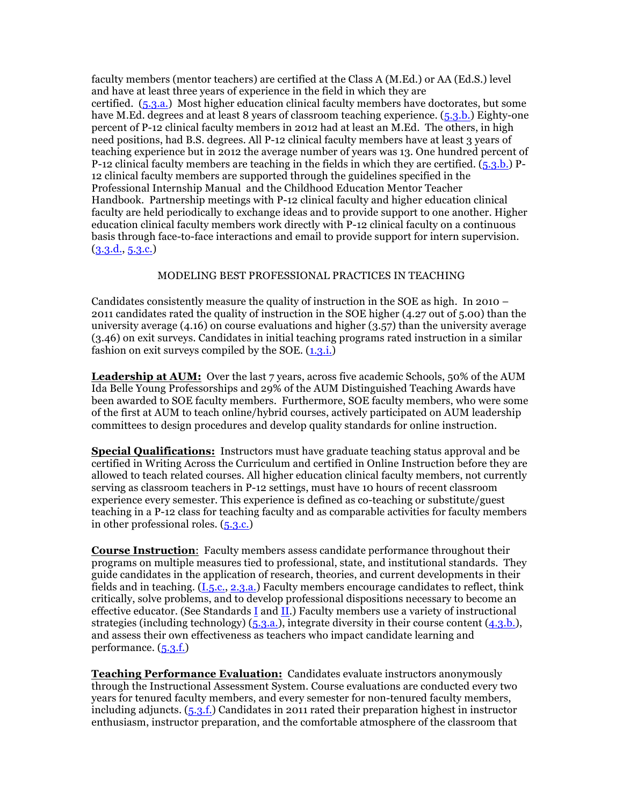faculty members (mentor teachers) are certified at the Class A (M.Ed.) or AA (Ed.S.) level and have at least three years of experience in the field in which they are certified. (5.3.a.) Most higher education clinical faculty members have doctorates, but some have M.Ed. degrees and at least 8 years of classroom teaching experience. (5.3.b.) Eighty-one percent of P-12 clinical faculty members in 2012 had at least an M.Ed. The others, in high need positions, had B.S. degrees. All P-12 clinical faculty members have at least 3 years of teaching experience but in 2012 the average number of years was 13. One hundred percent of P-12 clinical faculty members are teaching in the fields in which they are certified.  $(5.3.b.)$  P-12 clinical faculty members are supported through the guidelines specified in the Professional Internship Manual and the Childhood Education Mentor Teacher Handbook. Partnership meetings with P-12 clinical faculty and higher education clinical faculty are held periodically to exchange ideas and to provide support to one another. Higher education clinical faculty members work directly with P-12 clinical faculty on a continuous basis through face-to-face interactions and email to provide support for intern supervision. (3.3.d., 5.3.c.)

### MODELING BEST PROFESSIONAL PRACTICES IN TEACHING

Candidates consistently measure the quality of instruction in the SOE as high. In 2010 – 2011 candidates rated the quality of instruction in the SOE higher (4.27 out of 5.00) than the university average  $(4.16)$  on course evaluations and higher  $(3.57)$  than the university average (3.46) on exit surveys. Candidates in initial teaching programs rated instruction in a similar fashion on exit surveys compiled by the SOE.  $(1,3,1)$ .

**Leadership at AUM:** Over the last 7 years, across five academic Schools, 50% of the AUM Ida Belle Young Professorships and 29% of the AUM Distinguished Teaching Awards have been awarded to SOE faculty members. Furthermore, SOE faculty members, who were some of the first at AUM to teach online/hybrid courses, actively participated on AUM leadership committees to design procedures and develop quality standards for online instruction.

**Special Qualifications:** Instructors must have graduate teaching status approval and be certified in Writing Across the Curriculum and certified in Online Instruction before they are allowed to teach related courses. All higher education clinical faculty members, not currently serving as classroom teachers in P-12 settings, must have 10 hours of recent classroom experience every semester. This experience is defined as co-teaching or substitute/guest teaching in a P-12 class for teaching faculty and as comparable activities for faculty members in other professional roles. (5.3.c.)

**Course Instruction**: Faculty members assess candidate performance throughout their programs on multiple measures tied to professional, state, and institutional standards. They guide candidates in the application of research, theories, and current developments in their fields and in teaching. (I.5.c., 2.3.a.) Faculty members encourage candidates to reflect, think critically, solve problems, and to develop professional dispositions necessary to become an effective educator. (See Standards I and II.) Faculty members use a variety of instructional strategies (including technology) (5.3.a.), integrate diversity in their course content (4.3.b.), and assess their own effectiveness as teachers who impact candidate learning and performance. (5.3.f.)

**Teaching Performance Evaluation:** Candidates evaluate instructors anonymously through the Instructional Assessment System. Course evaluations are conducted every two years for tenured faculty members, and every semester for non-tenured faculty members, including adjuncts. (5.3.f.) Candidates in 2011 rated their preparation highest in instructor enthusiasm, instructor preparation, and the comfortable atmosphere of the classroom that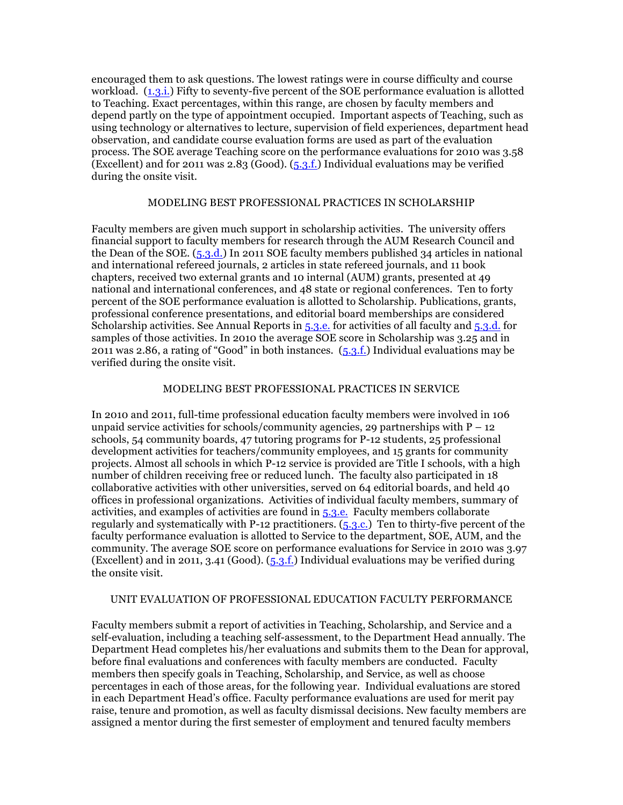encouraged them to ask questions. The lowest ratings were in course difficulty and course workload. (1.3.i.) Fifty to seventy-five percent of the SOE performance evaluation is allotted to Teaching. Exact percentages, within this range, are chosen by faculty members and depend partly on the type of appointment occupied. Important aspects of Teaching, such as using technology or alternatives to lecture, supervision of field experiences, department head observation, and candidate course evaluation forms are used as part of the evaluation process. The SOE average Teaching score on the performance evaluations for 2010 was 3.58 (Excellent) and for 2011 was 2.83 (Good).  $(5.3.f.)$  Individual evaluations may be verified during the onsite visit.

### MODELING BEST PROFESSIONAL PRACTICES IN SCHOLARSHIP

Faculty members are given much support in scholarship activities. The university offers financial support to faculty members for research through the AUM Research Council and the Dean of the SOE. (5.3.d.) In 2011 SOE faculty members published 34 articles in national and international refereed journals, 2 articles in state refereed journals, and 11 book chapters, received two external grants and 10 internal (AUM) grants, presented at 49 national and international conferences, and 48 state or regional conferences. Ten to forty percent of the SOE performance evaluation is allotted to Scholarship. Publications, grants, professional conference presentations, and editorial board memberships are considered Scholarship activities. See Annual Reports in 5.3.e. for activities of all faculty and 5.3.d. for samples of those activities. In 2010 the average SOE score in Scholarship was 3.25 and in 2011 was 2.86, a rating of "Good" in both instances. (5.3.f.) Individual evaluations may be verified during the onsite visit.

### MODELING BEST PROFESSIONAL PRACTICES IN SERVICE

In 2010 and 2011, full-time professional education faculty members were involved in 106 unpaid service activities for schools/community agencies, 29 partnerships with  $P - 12$ schools, 54 community boards, 47 tutoring programs for P-12 students, 25 professional development activities for teachers/community employees, and 15 grants for community projects. Almost all schools in which P-12 service is provided are Title I schools, with a high number of children receiving free or reduced lunch. The faculty also participated in 18 collaborative activities with other universities, served on 64 editorial boards, and held 40 offices in professional organizations. Activities of individual faculty members, summary of activities, and examples of activities are found in 5.3.e. Faculty members collaborate regularly and systematically with P-12 practitioners.  $(5.3.c.)$  Ten to thirty-five percent of the faculty performance evaluation is allotted to Service to the department, SOE, AUM, and the community. The average SOE score on performance evaluations for Service in 2010 was 3.97 (Excellent) and in 2011, 3.41 (Good). (5.3.f.) Individual evaluations may be verified during the onsite visit.

### UNIT EVALUATION OF PROFESSIONAL EDUCATION FACULTY PERFORMANCE

Faculty members submit a report of activities in Teaching, Scholarship, and Service and a self-evaluation, including a teaching self-assessment, to the Department Head annually. The Department Head completes his/her evaluations and submits them to the Dean for approval, before final evaluations and conferences with faculty members are conducted. Faculty members then specify goals in Teaching, Scholarship, and Service, as well as choose percentages in each of those areas, for the following year. Individual evaluations are stored in each Department Head's office. Faculty performance evaluations are used for merit pay raise, tenure and promotion, as well as faculty dismissal decisions. New faculty members are assigned a mentor during the first semester of employment and tenured faculty members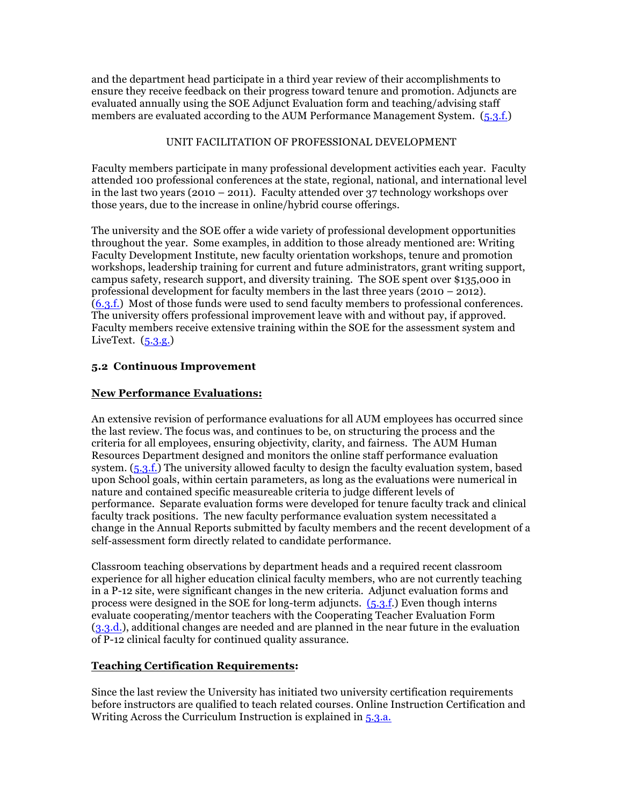and the department head participate in a third year review of their accomplishments to ensure they receive feedback on their progress toward tenure and promotion. Adjuncts are evaluated annually using the SOE Adjunct Evaluation form and teaching/advising staff members are evaluated according to the AUM Performance Management System. (5.3.f.)

### UNIT FACILITATION OF PROFESSIONAL DEVELOPMENT

Faculty members participate in many professional development activities each year. Faculty attended 100 professional conferences at the state, regional, national, and international level in the last two years (2010 – 2011). Faculty attended over 37 technology workshops over those years, due to the increase in online/hybrid course offerings.

The university and the SOE offer a wide variety of professional development opportunities throughout the year. Some examples, in addition to those already mentioned are: Writing Faculty Development Institute, new faculty orientation workshops, tenure and promotion workshops, leadership training for current and future administrators, grant writing support, campus safety, research support, and diversity training. The SOE spent over \$135,000 in professional development for faculty members in the last three years (2010 – 2012). (6.3.f.) Most of those funds were used to send faculty members to professional conferences. The university offers professional improvement leave with and without pay, if approved. Faculty members receive extensive training within the SOE for the assessment system and LiveText.  $(5.3.9)$ 

### **5.2 Continuous Improvement**

### **New Performance Evaluations:**

An extensive revision of performance evaluations for all AUM employees has occurred since the last review. The focus was, and continues to be, on structuring the process and the criteria for all employees, ensuring objectivity, clarity, and fairness. The AUM Human Resources Department designed and monitors the online staff performance evaluation system. (5.3.f.) The university allowed faculty to design the faculty evaluation system, based upon School goals, within certain parameters, as long as the evaluations were numerical in nature and contained specific measureable criteria to judge different levels of performance. Separate evaluation forms were developed for tenure faculty track and clinical faculty track positions. The new faculty performance evaluation system necessitated a change in the Annual Reports submitted by faculty members and the recent development of a self-assessment form directly related to candidate performance.

Classroom teaching observations by department heads and a required recent classroom experience for all higher education clinical faculty members, who are not currently teaching in a P-12 site, were significant changes in the new criteria. Adjunct evaluation forms and process were designed in the SOE for long-term adjuncts. (5.3.f.) Even though interns evaluate cooperating/mentor teachers with the Cooperating Teacher Evaluation Form (3.3.d.), additional changes are needed and are planned in the near future in the evaluation of P-12 clinical faculty for continued quality assurance.

### **Teaching Certification Requirements:**

Since the last review the University has initiated two university certification requirements before instructors are qualified to teach related courses. Online Instruction Certification and Writing Across the Curriculum Instruction is explained in 5.3.a.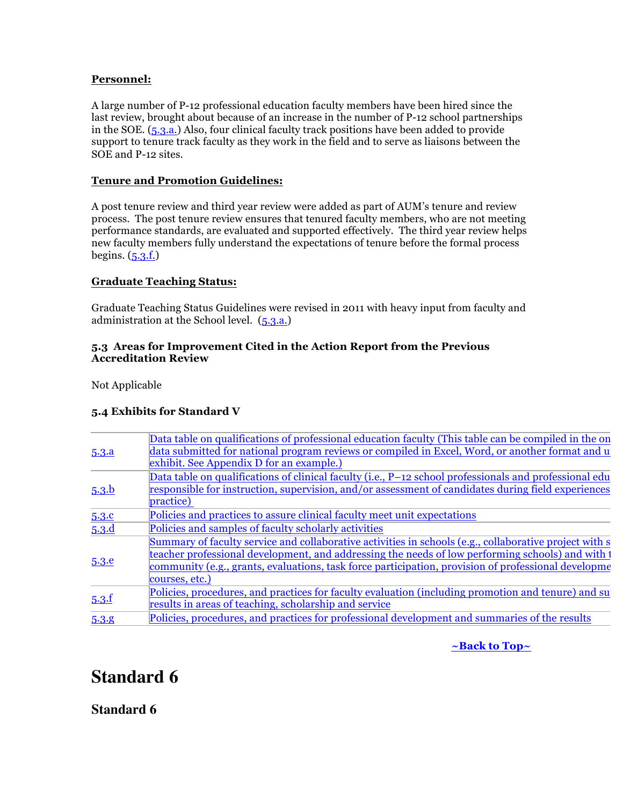### **Personnel:**

A large number of P-12 professional education faculty members have been hired since the last review, brought about because of an increase in the number of P-12 school partnerships in the SOE. (5.3.a.) Also, four clinical faculty track positions have been added to provide support to tenure track faculty as they work in the field and to serve as liaisons between the SOE and P-12 sites.

### **Tenure and Promotion Guidelines:**

A post tenure review and third year review were added as part of AUM's tenure and review process. The post tenure review ensures that tenured faculty members, who are not meeting performance standards, are evaluated and supported effectively. The third year review helps new faculty members fully understand the expectations of tenure before the formal process begins.  $(5.3.f.)$ 

### **Graduate Teaching Status:**

Graduate Teaching Status Guidelines were revised in 2011 with heavy input from faculty and administration at the School level. (5.3.a.)

### **5.3 Areas for Improvement Cited in the Action Report from the Previous Accreditation Review**

Not Applicable

### **5.4 Exhibits for Standard V**

| 5.3.a | Data table on qualifications of professional education faculty (This table can be compiled in the on<br>data submitted for national program reviews or compiled in Excel, Word, or another format and u<br>exhibit. See Appendix D for an example.)                                                                                   |
|-------|---------------------------------------------------------------------------------------------------------------------------------------------------------------------------------------------------------------------------------------------------------------------------------------------------------------------------------------|
| 5.3.b | Data table on qualifications of clinical faculty (i.e., P-12 school professionals and professional edu<br>responsible for instruction, supervision, and/or assessment of candidates during field experiences<br>practice)                                                                                                             |
| 5.3.c | Policies and practices to assure clinical faculty meet unit expectations                                                                                                                                                                                                                                                              |
| 5.3.d | Policies and samples of faculty scholarly activities                                                                                                                                                                                                                                                                                  |
| 5.3.e | Summary of faculty service and collaborative activities in schools (e.g., collaborative project with s<br>teacher professional development, and addressing the needs of low performing schools) and with t<br>community (e.g., grants, evaluations, task force participation, provision of professional development<br>courses, etc.) |
| 5.3.f | Policies, procedures, and practices for faculty evaluation (including promotion and tenure) and su<br>results in areas of teaching, scholarship and service                                                                                                                                                                           |
| 5.3.8 | Policies, procedures, and practices for professional development and summaries of the results                                                                                                                                                                                                                                         |

**~Back to Top~**

# **Standard 6**

**Standard 6**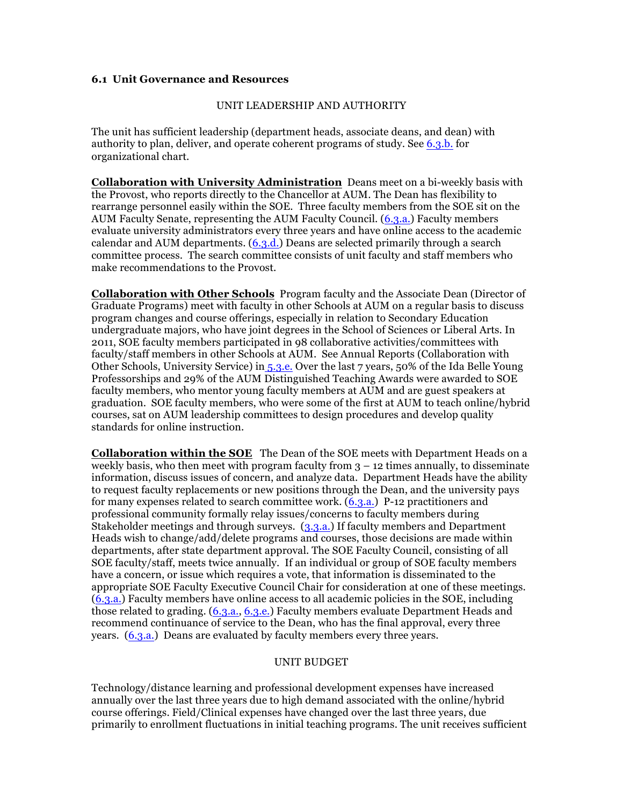### **6.1 Unit Governance and Resources**

#### UNIT LEADERSHIP AND AUTHORITY

The unit has sufficient leadership (department heads, associate deans, and dean) with authority to plan, deliver, and operate coherent programs of study. See 6.3.b. for organizational chart.

**Collaboration with University Administration** Deans meet on a bi-weekly basis with the Provost, who reports directly to the Chancellor at AUM. The Dean has flexibility to rearrange personnel easily within the SOE. Three faculty members from the SOE sit on the AUM Faculty Senate, representing the AUM Faculty Council. (6.3.a.) Faculty members evaluate university administrators every three years and have online access to the academic calendar and AUM departments. (6.3.d.) Deans are selected primarily through a search committee process. The search committee consists of unit faculty and staff members who make recommendations to the Provost.

**Collaboration with Other Schools** Program faculty and the Associate Dean (Director of Graduate Programs) meet with faculty in other Schools at AUM on a regular basis to discuss program changes and course offerings, especially in relation to Secondary Education undergraduate majors, who have joint degrees in the School of Sciences or Liberal Arts. In 2011, SOE faculty members participated in 98 collaborative activities/committees with faculty/staff members in other Schools at AUM. See Annual Reports (Collaboration with Other Schools, University Service) in 5.3.e. Over the last 7 years, 50% of the Ida Belle Young Professorships and 29% of the AUM Distinguished Teaching Awards were awarded to SOE faculty members, who mentor young faculty members at AUM and are guest speakers at graduation. SOE faculty members, who were some of the first at AUM to teach online/hybrid courses, sat on AUM leadership committees to design procedures and develop quality standards for online instruction.

**Collaboration within the SOE** The Dean of the SOE meets with Department Heads on a weekly basis, who then meet with program faculty from  $3 - 12$  times annually, to disseminate information, discuss issues of concern, and analyze data. Department Heads have the ability to request faculty replacements or new positions through the Dean, and the university pays for many expenses related to search committee work. (6.3.a.) P-12 practitioners and professional community formally relay issues/concerns to faculty members during Stakeholder meetings and through surveys. (3.3.a.) If faculty members and Department Heads wish to change/add/delete programs and courses, those decisions are made within departments, after state department approval. The SOE Faculty Council, consisting of all SOE faculty/staff, meets twice annually. If an individual or group of SOE faculty members have a concern, or issue which requires a vote, that information is disseminated to the appropriate SOE Faculty Executive Council Chair for consideration at one of these meetings. (6.3.a.) Faculty members have online access to all academic policies in the SOE, including those related to grading. (6.3.a., 6.3.e.) Faculty members evaluate Department Heads and recommend continuance of service to the Dean, who has the final approval, every three years. (6.3.a.) Deans are evaluated by faculty members every three years.

### UNIT BUDGET

Technology/distance learning and professional development expenses have increased annually over the last three years due to high demand associated with the online/hybrid course offerings. Field/Clinical expenses have changed over the last three years, due primarily to enrollment fluctuations in initial teaching programs. The unit receives sufficient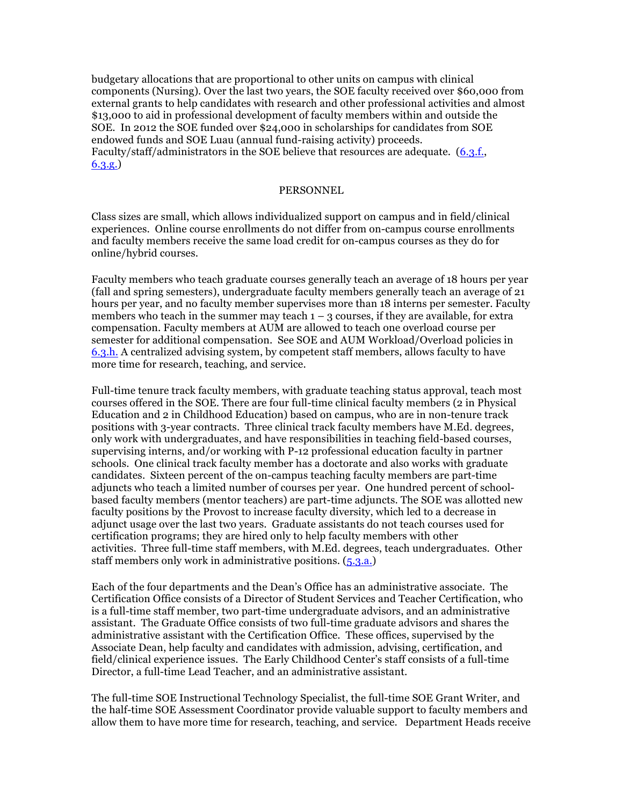budgetary allocations that are proportional to other units on campus with clinical components (Nursing). Over the last two years, the SOE faculty received over \$60,000 from external grants to help candidates with research and other professional activities and almost \$13,000 to aid in professional development of faculty members within and outside the SOE. In 2012 the SOE funded over \$24,000 in scholarships for candidates from SOE endowed funds and SOE Luau (annual fund-raising activity) proceeds. Faculty/staff/administrators in the SOE believe that resources are adequate. (6.3.f., 6.3.g.)

#### PERSONNEL

Class sizes are small, which allows individualized support on campus and in field/clinical experiences. Online course enrollments do not differ from on-campus course enrollments and faculty members receive the same load credit for on-campus courses as they do for online/hybrid courses.

Faculty members who teach graduate courses generally teach an average of 18 hours per year (fall and spring semesters), undergraduate faculty members generally teach an average of 21 hours per year, and no faculty member supervises more than 18 interns per semester. Faculty members who teach in the summer may teach  $1 - 3$  courses, if they are available, for extra compensation. Faculty members at AUM are allowed to teach one overload course per semester for additional compensation. See SOE and AUM Workload/Overload policies in 6.3.h. A centralized advising system, by competent staff members, allows faculty to have more time for research, teaching, and service.

Full-time tenure track faculty members, with graduate teaching status approval, teach most courses offered in the SOE. There are four full-time clinical faculty members (2 in Physical Education and 2 in Childhood Education) based on campus, who are in non-tenure track positions with 3-year contracts. Three clinical track faculty members have M.Ed. degrees, only work with undergraduates, and have responsibilities in teaching field-based courses, supervising interns, and/or working with P-12 professional education faculty in partner schools. One clinical track faculty member has a doctorate and also works with graduate candidates. Sixteen percent of the on-campus teaching faculty members are part-time adjuncts who teach a limited number of courses per year. One hundred percent of schoolbased faculty members (mentor teachers) are part-time adjuncts. The SOE was allotted new faculty positions by the Provost to increase faculty diversity, which led to a decrease in adjunct usage over the last two years. Graduate assistants do not teach courses used for certification programs; they are hired only to help faculty members with other activities. Three full-time staff members, with M.Ed. degrees, teach undergraduates. Other staff members only work in administrative positions. (5.3.a.)

Each of the four departments and the Dean's Office has an administrative associate. The Certification Office consists of a Director of Student Services and Teacher Certification, who is a full-time staff member, two part-time undergraduate advisors, and an administrative assistant. The Graduate Office consists of two full-time graduate advisors and shares the administrative assistant with the Certification Office. These offices, supervised by the Associate Dean, help faculty and candidates with admission, advising, certification, and field/clinical experience issues. The Early Childhood Center's staff consists of a full-time Director, a full-time Lead Teacher, and an administrative assistant.

The full-time SOE Instructional Technology Specialist, the full-time SOE Grant Writer, and the half-time SOE Assessment Coordinator provide valuable support to faculty members and allow them to have more time for research, teaching, and service. Department Heads receive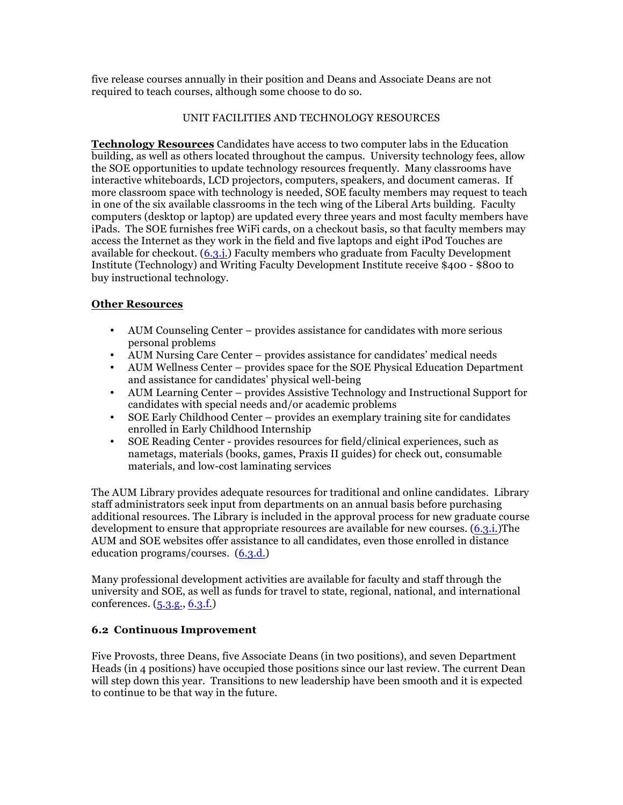five release courses annually in their position and Deans and Associate Deans are not required to teach courses, although some choose to do so.

### UNIT FACILITIES AND TECHNOLOGY RESOURCES

**Technology Resources** Candidates have access to two computer labs in the Education building, as well as others located throughout the campus. University technology fees, allow the SOE opportunities to update technology resources frequently. Many classrooms have interactive whiteboards, LCD projectors, computers, speakers, and document cameras. If more classroom space with technology is needed, SOE faculty members may request to teach in one of the six available classrooms in the tech wing of the Liberal Arts building. Faculty computers (desktop or laptop) are updated every three years and most faculty members have iPads. The SOE furnishes free WiFi cards, on a checkout basis, so that faculty members may access the Internet as they work in the field and five laptops and eight iPod Touches are available for checkout. (6.3.j.) Faculty members who graduate from Faculty Development Institute (Technology) and Writing Faculty Development Institute receive \$400 - \$800 to buy instructional technology.

### **Other Resources**

- AUM Counseling Center provides assistance for candidates with more serious personal problems
- AUM Nursing Care Center provides assistance for candidates' medical needs
- AUM Wellness Center provides space for the SOE Physical Education Department and assistance for candidates' physical well-being
- AUM Learning Center provides Assistive Technology and Instructional Support for candidates with special needs and/or academic problems
- SOE Early Childhood Center provides an exemplary training site for candidates enrolled in Early Childhood Internship
- SOE Reading Center provides resources for field/clinical experiences, such as nametags, materials (books, games, Praxis II guides) for check out, consumable materials, and low-cost laminating services

The AUM Library provides adequate resources for traditional and online candidates. Library staff administrators seek input from departments on an annual basis before purchasing additional resources. The Library is included in the approval process for new graduate course development to ensure that appropriate resources are available for new courses.  $(6.3.i.)$ The AUM and SOE websites offer assistance to all candidates, even those enrolled in distance education programs/courses. (6.3.d.)

Many professional development activities are available for faculty and staff through the university and SOE, as well as funds for travel to state, regional, national, and international conferences. (5.3.g., 6.3.f.)

### **6.2 Continuous Improvement**

Five Provosts, three Deans, five Associate Deans (in two positions), and seven Department Heads (in 4 positions) have occupied those positions since our last review. The current Dean will step down this year. Transitions to new leadership have been smooth and it is expected to continue to be that way in the future.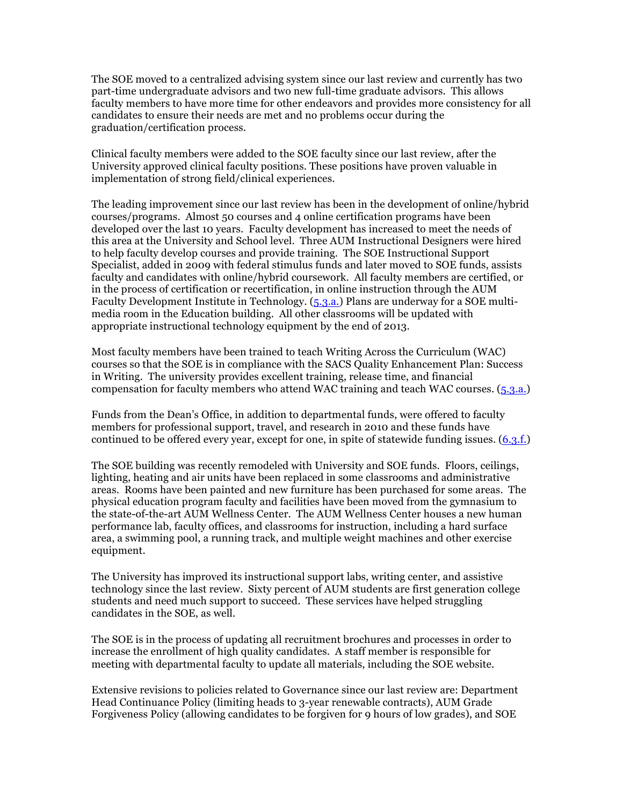The SOE moved to a centralized advising system since our last review and currently has two part-time undergraduate advisors and two new full-time graduate advisors. This allows faculty members to have more time for other endeavors and provides more consistency for all candidates to ensure their needs are met and no problems occur during the graduation/certification process.

Clinical faculty members were added to the SOE faculty since our last review, after the University approved clinical faculty positions. These positions have proven valuable in implementation of strong field/clinical experiences.

The leading improvement since our last review has been in the development of online/hybrid courses/programs. Almost 50 courses and 4 online certification programs have been developed over the last 10 years. Faculty development has increased to meet the needs of this area at the University and School level. Three AUM Instructional Designers were hired to help faculty develop courses and provide training. The SOE Instructional Support Specialist, added in 2009 with federal stimulus funds and later moved to SOE funds, assists faculty and candidates with online/hybrid coursework. All faculty members are certified, or in the process of certification or recertification, in online instruction through the AUM Faculty Development Institute in Technology. (5.3.a.) Plans are underway for a SOE multimedia room in the Education building. All other classrooms will be updated with appropriate instructional technology equipment by the end of 2013.

Most faculty members have been trained to teach Writing Across the Curriculum (WAC) courses so that the SOE is in compliance with the SACS Quality Enhancement Plan: Success in Writing. The university provides excellent training, release time, and financial compensation for faculty members who attend WAC training and teach WAC courses. (5.3.a.)

Funds from the Dean's Office, in addition to departmental funds, were offered to faculty members for professional support, travel, and research in 2010 and these funds have continued to be offered every year, except for one, in spite of statewide funding issues. (6.3.f.)

The SOE building was recently remodeled with University and SOE funds. Floors, ceilings, lighting, heating and air units have been replaced in some classrooms and administrative areas. Rooms have been painted and new furniture has been purchased for some areas. The physical education program faculty and facilities have been moved from the gymnasium to the state-of-the-art AUM Wellness Center. The AUM Wellness Center houses a new human performance lab, faculty offices, and classrooms for instruction, including a hard surface area, a swimming pool, a running track, and multiple weight machines and other exercise equipment.

The University has improved its instructional support labs, writing center, and assistive technology since the last review. Sixty percent of AUM students are first generation college students and need much support to succeed. These services have helped struggling candidates in the SOE, as well.

The SOE is in the process of updating all recruitment brochures and processes in order to increase the enrollment of high quality candidates. A staff member is responsible for meeting with departmental faculty to update all materials, including the SOE website.

Extensive revisions to policies related to Governance since our last review are: Department Head Continuance Policy (limiting heads to 3-year renewable contracts), AUM Grade Forgiveness Policy (allowing candidates to be forgiven for 9 hours of low grades), and SOE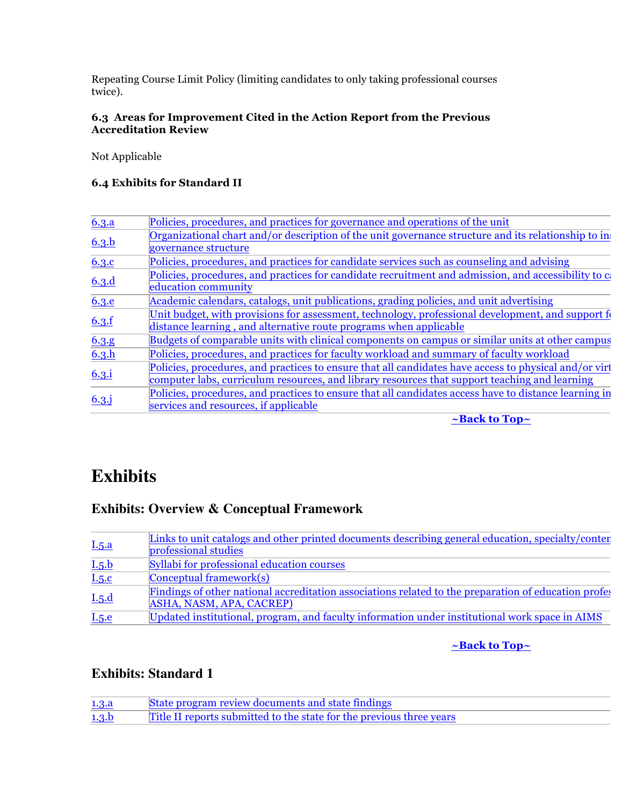Repeating Course Limit Policy (limiting candidates to only taking professional courses twice).

### **6.3 Areas for Improvement Cited in the Action Report from the Previous Accreditation Review**

Not Applicable

### **6.4 Exhibits for Standard II**

| 6.3.a    | Policies, procedures, and practices for governance and operations of the unit                         |
|----------|-------------------------------------------------------------------------------------------------------|
|          | Organizational chart and/or description of the unit governance structure and its relationship to in   |
| 6.3.b    | governance structure                                                                                  |
| 6.3.c    | Policies, procedures, and practices for candidate services such as counseling and advising            |
|          | Policies, procedures, and practices for candidate recruitment and admission, and accessibility to c   |
| 6.3.d    | education community                                                                                   |
| 6.3.e    | Academic calendars, catalogs, unit publications, grading policies, and unit advertising               |
|          | Unit budget, with provisions for assessment, technology, professional development, and support for    |
| 6.3.f    | distance learning, and alternative route programs when applicable                                     |
| 6.3.g    | Budgets of comparable units with clinical components on campus or similar units at other campus       |
| 6.3.h    | Policies, procedures, and practices for faculty workload and summary of faculty workload              |
|          | Policies, procedures, and practices to ensure that all candidates have access to physical and/or virt |
| 6.3.i    | computer labs, curriculum resources, and library resources that support teaching and learning         |
|          | Policies, procedures, and practices to ensure that all candidates access have to distance learning in |
| $6.3.$ j | services and resources, if applicable                                                                 |

**~Back to Top~**

# **Exhibits**

# **Exhibits: Overview & Conceptual Framework**

|       | Links to unit catalogs and other printed documents describing general education, specialty/conter                                |
|-------|----------------------------------------------------------------------------------------------------------------------------------|
| I.5.a | professional studies                                                                                                             |
| I.5.b | Syllabi for professional education courses                                                                                       |
| I.5.c | $\text{Conceptual framework}(s)$                                                                                                 |
| I.5.d | Findings of other national accreditation associations related to the preparation of education profes<br>ASHA, NASM, APA, CACREP) |
| I.5.e | Updated institutional, program, and faculty information under institutional work space in AIMS                                   |

### **~Back to Top~**

# **Exhibits: Standard 1**

| 1.3.a | State program review documents and state findings                    |
|-------|----------------------------------------------------------------------|
| 1.3.b | Title II reports submitted to the state for the previous three years |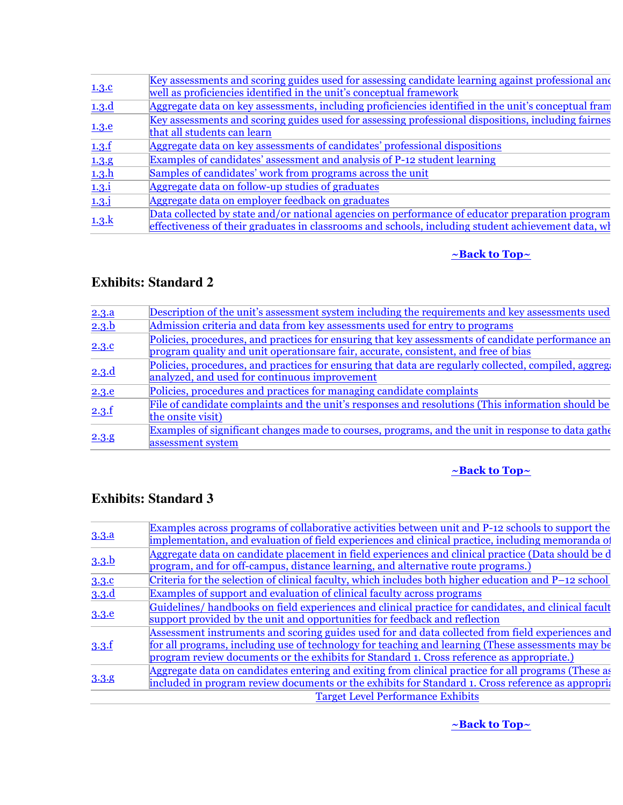| 1.3.c          | Key assessments and scoring guides used for assessing candidate learning against professional and<br>well as proficiencies identified in the unit's conceptual framework |
|----------------|--------------------------------------------------------------------------------------------------------------------------------------------------------------------------|
| 1.3.d          | Aggregate data on key assessments, including proficiencies identified in the unit's conceptual fram                                                                      |
|                | Key assessments and scoring guides used for assessing professional dispositions, including fairnes                                                                       |
| 1.3.e          | that all students can learn                                                                                                                                              |
| 1.3.f          | Aggregate data on key assessments of candidates' professional dispositions                                                                                               |
| 1.3.9          | Examples of candidates' assessment and analysis of P-12 student learning                                                                                                 |
| 1.3.h          | Samples of candidates' work from programs across the unit                                                                                                                |
| 1.3.1          | Aggregate data on follow-up studies of graduates                                                                                                                         |
| $1.3 \text{.}$ | Aggregate data on employer feedback on graduates                                                                                                                         |
|                | Data collected by state and/or national agencies on performance of educator preparation program                                                                          |
| 1.3.           | effectiveness of their graduates in classrooms and schools, including student achievement data, wh                                                                       |

# **~Back to Top~**

# **Exhibits: Standard 2**

| 2.3.a | Description of the unit's assessment system including the requirements and key assessments used       |
|-------|-------------------------------------------------------------------------------------------------------|
| 2.3.b | Admission criteria and data from key assessments used for entry to programs                           |
| 2.3.c | Policies, procedures, and practices for ensuring that key assessments of candidate performance an     |
|       | program quality and unit operations are fair, accurate, consistent, and free of bias                  |
| 2.3.d | Policies, procedures, and practices for ensuring that data are regularly collected, compiled, aggrege |
|       | analyzed, and used for continuous improvement                                                         |
| 2.3.e | Policies, procedures and practices for managing candidate complaints                                  |
| 2.3.f | File of candidate complaints and the unit's responses and resolutions (This information should be     |
|       | the onsite visit)                                                                                     |
| 2.3.9 | Examples of significant changes made to courses, programs, and the unit in response to data gather    |
|       | assessment system                                                                                     |

# **~Back to Top~**

# **Exhibits: Standard 3**

| 3.3.a | Examples across programs of collaborative activities between unit and P-12 schools to support the      |
|-------|--------------------------------------------------------------------------------------------------------|
|       | implementation, and evaluation of field experiences and clinical practice, including memoranda of      |
| 3.3.b | Aggregate data on candidate placement in field experiences and clinical practice (Data should be d     |
|       | program, and for off-campus, distance learning, and alternative route programs.)                       |
| 3.3.c | Criteria for the selection of clinical faculty, which includes both higher education and P-12 school   |
| 3.3.d | Examples of support and evaluation of clinical faculty across programs                                 |
|       | Guidelines/handbooks on field experiences and clinical practice for candidates, and clinical facult    |
| 3.3.e | support provided by the unit and opportunities for feedback and reflection                             |
| 3.3.f | Assessment instruments and scoring guides used for and data collected from field experiences and       |
|       | for all programs, including use of technology for teaching and learning (These assessments may be      |
|       | program review documents or the exhibits for Standard 1. Cross reference as appropriate.)              |
| 3.3.8 | Aggregate data on candidates entering and exiting from clinical practice for all programs (These as    |
|       | included in program review documents or the exhibits for Standard 1. Cross reference as appropriation- |
|       | <b>Target Level Performance Exhibits</b>                                                               |

**~Back to Top~**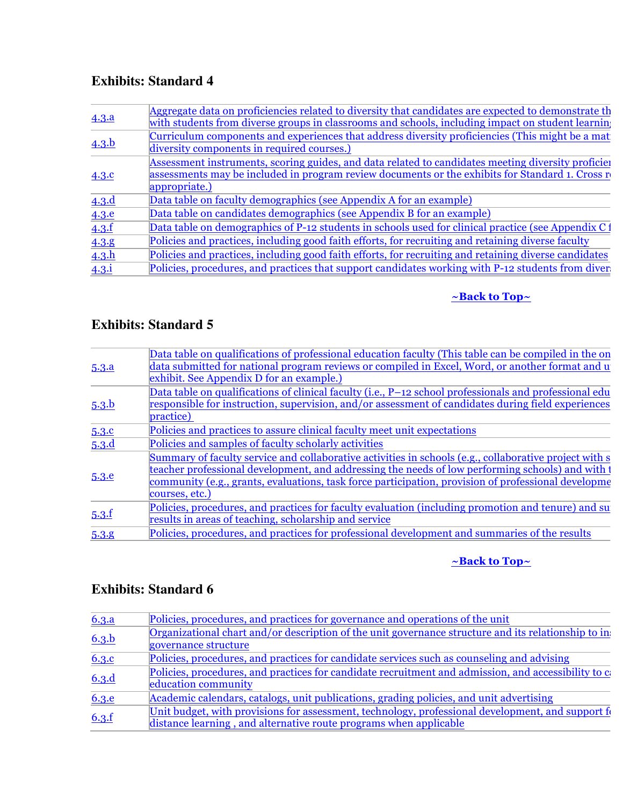# **Exhibits: Standard 4**

| 4.3.a         | Aggregate data on proficiencies related to diversity that candidates are expected to demonstrate th<br>with students from diverse groups in classrooms and schools, including impact on student learning               |
|---------------|------------------------------------------------------------------------------------------------------------------------------------------------------------------------------------------------------------------------|
| 4.3.b         | Curriculum components and experiences that address diversity proficiencies (This might be a mat<br>diversity components in required courses.)                                                                          |
| 4.3.c         | Assessment instruments, scoring guides, and data related to candidates meeting diversity proficier<br>assessments may be included in program review documents or the exhibits for Standard 1. Cross r<br>appropriate.) |
| 4.3.d         | Data table on faculty demographics (see Appendix A for an example)                                                                                                                                                     |
| 4.3.e         | Data table on candidates demographics (see Appendix B for an example)                                                                                                                                                  |
| 4.3.f         | Data table on demographics of P-12 students in schools used for clinical practice (see Appendix C1                                                                                                                     |
| 4.3.8         | Policies and practices, including good faith efforts, for recruiting and retaining diverse faculty                                                                                                                     |
| 4.3.h         | Policies and practices, including good faith efforts, for recruiting and retaining diverse candidates                                                                                                                  |
| $4.3.\dot{1}$ | Policies, procedures, and practices that support candidates working with P-12 students from diver                                                                                                                      |

# **~Back to Top~**

# **Exhibits: Standard 5**

| 5.3.a            | Data table on qualifications of professional education faculty (This table can be compiled in the on<br>data submitted for national program reviews or compiled in Excel, Word, or another format and u<br>exhibit. See Appendix D for an example.)                                                                                 |
|------------------|-------------------------------------------------------------------------------------------------------------------------------------------------------------------------------------------------------------------------------------------------------------------------------------------------------------------------------------|
| 5.3 <sub>b</sub> | Data table on qualifications of clinical faculty (i.e., P-12 school professionals and professional edu<br>responsible for instruction, supervision, and/or assessment of candidates during field experiences<br>practice)                                                                                                           |
| 5.3.c            | Policies and practices to assure clinical faculty meet unit expectations                                                                                                                                                                                                                                                            |
| 5.3.d            | Policies and samples of faculty scholarly activities                                                                                                                                                                                                                                                                                |
| 5.3.e            | Summary of faculty service and collaborative activities in schools (e.g., collaborative project with s<br>teacher professional development, and addressing the needs of low performing schools) and with t<br>community (e.g., grants, evaluations, task force participation, provision of professional developme<br>courses, etc.) |
| 5.3.f            | Policies, procedures, and practices for faculty evaluation (including promotion and tenure) and su<br>results in areas of teaching, scholarship and service                                                                                                                                                                         |
| 5.3.8            | Policies, procedures, and practices for professional development and summaries of the results                                                                                                                                                                                                                                       |
|                  |                                                                                                                                                                                                                                                                                                                                     |

# **~Back to Top~**

# **Exhibits: Standard 6**

| 6.3.a        | Policies, procedures, and practices for governance and operations of the unit                        |
|--------------|------------------------------------------------------------------------------------------------------|
| 6.3.b        | Organizational chart and/or description of the unit governance structure and its relationship to in  |
|              | governance structure                                                                                 |
| 6.3.c        | Policies, procedures, and practices for candidate services such as counseling and advising           |
| 6.3.d        | Policies, procedures, and practices for candidate recruitment and admission, and accessibility to c  |
|              | education community                                                                                  |
| <b>6.3.e</b> | Academic calendars, catalogs, unit publications, grading policies, and unit advertising              |
| 6.3.f        | Unit budget, with provisions for assessment, technology, professional development, and support $f_0$ |
|              | distance learning, and alternative route programs when applicable                                    |